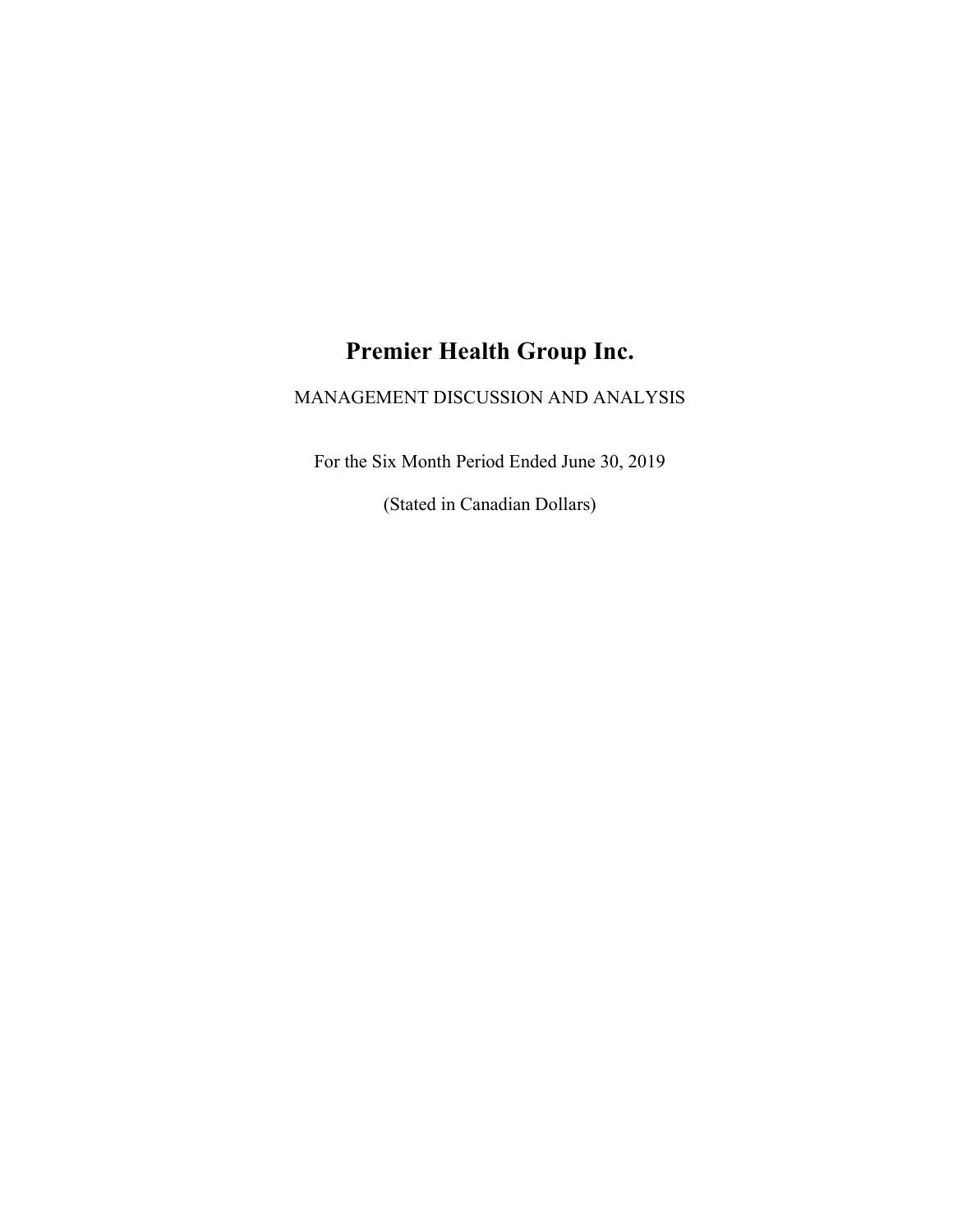# Premier Health Group Inc.

## MANAGEMENT DISCUSSION AND ANALYSIS

For the Six Month Period Ended June 30, 2019

(Stated in Canadian Dollars)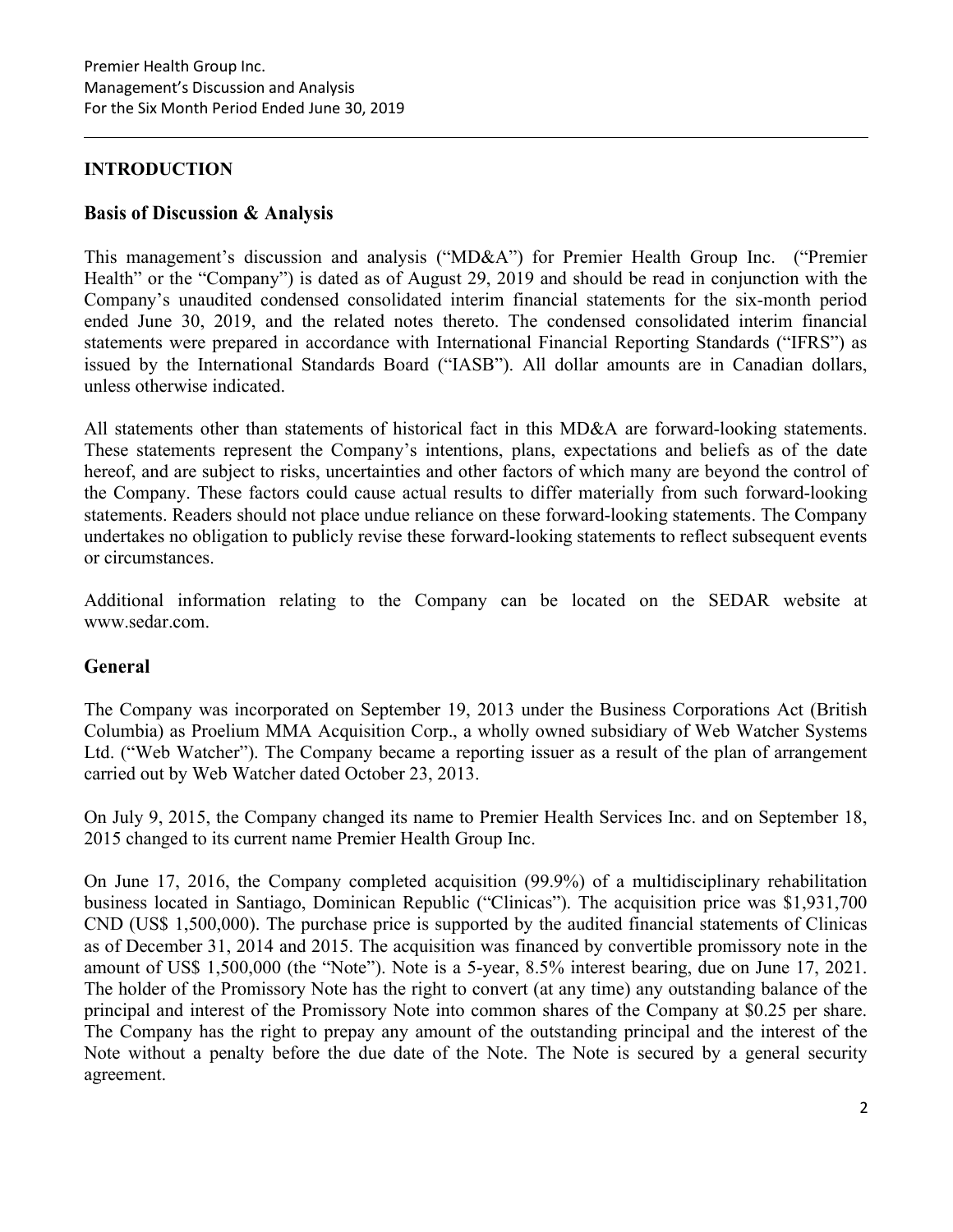## INTRODUCTION

### Basis of Discussion & Analysis

This management's discussion and analysis ("MD&A") for Premier Health Group Inc. ("Premier Health" or the "Company") is dated as of August 29, 2019 and should be read in conjunction with the Company's unaudited condensed consolidated interim financial statements for the six-month period ended June 30, 2019, and the related notes thereto. The condensed consolidated interim financial statements were prepared in accordance with International Financial Reporting Standards ("IFRS") as issued by the International Standards Board ("IASB"). All dollar amounts are in Canadian dollars, unless otherwise indicated.

All statements other than statements of historical fact in this MD&A are forward-looking statements. These statements represent the Company's intentions, plans, expectations and beliefs as of the date hereof, and are subject to risks, uncertainties and other factors of which many are beyond the control of the Company. These factors could cause actual results to differ materially from such forward-looking statements. Readers should not place undue reliance on these forward-looking statements. The Company undertakes no obligation to publicly revise these forward-looking statements to reflect subsequent events or circumstances.

Additional information relating to the Company can be located on the SEDAR website at www.sedar.com.

### General

The Company was incorporated on September 19, 2013 under the Business Corporations Act (British Columbia) as Proelium MMA Acquisition Corp., a wholly owned subsidiary of Web Watcher Systems Ltd. ("Web Watcher"). The Company became a reporting issuer as a result of the plan of arrangement carried out by Web Watcher dated October 23, 2013.

On July 9, 2015, the Company changed its name to Premier Health Services Inc. and on September 18, 2015 changed to its current name Premier Health Group Inc.

On June 17, 2016, the Company completed acquisition (99.9%) of a multidisciplinary rehabilitation business located in Santiago, Dominican Republic ("Clinicas"). The acquisition price was \$1,931,700 CND (US\$ 1,500,000). The purchase price is supported by the audited financial statements of Clinicas as of December 31, 2014 and 2015. The acquisition was financed by convertible promissory note in the amount of US\$ 1,500,000 (the "Note"). Note is a 5-year, 8.5% interest bearing, due on June 17, 2021. The holder of the Promissory Note has the right to convert (at any time) any outstanding balance of the principal and interest of the Promissory Note into common shares of the Company at \$0.25 per share. The Company has the right to prepay any amount of the outstanding principal and the interest of the Note without a penalty before the due date of the Note. The Note is secured by a general security agreement.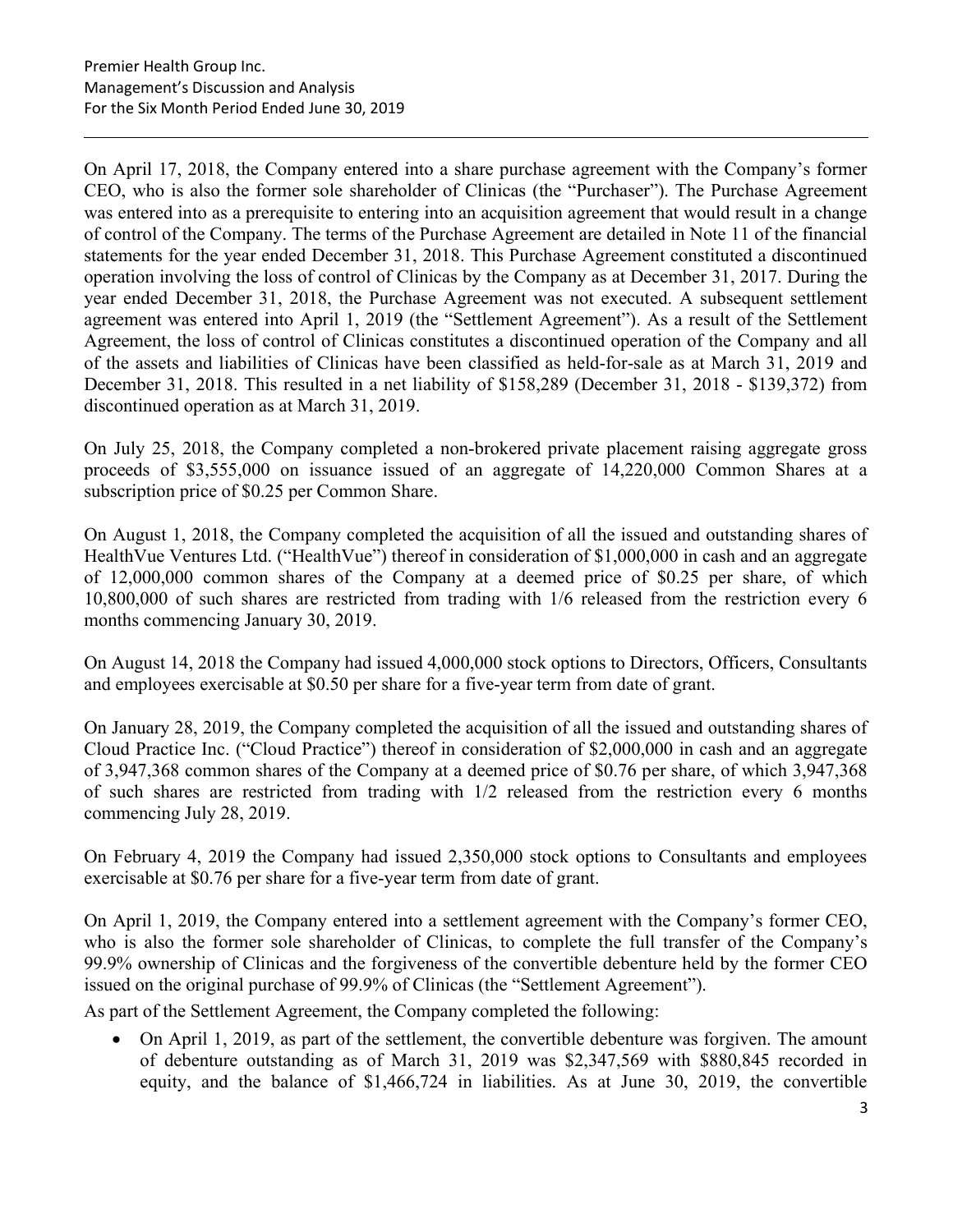On April 17, 2018, the Company entered into a share purchase agreement with the Company's former CEO, who is also the former sole shareholder of Clinicas (the "Purchaser"). The Purchase Agreement was entered into as a prerequisite to entering into an acquisition agreement that would result in a change of control of the Company. The terms of the Purchase Agreement are detailed in Note 11 of the financial statements for the year ended December 31, 2018. This Purchase Agreement constituted a discontinued operation involving the loss of control of Clinicas by the Company as at December 31, 2017. During the year ended December 31, 2018, the Purchase Agreement was not executed. A subsequent settlement agreement was entered into April 1, 2019 (the "Settlement Agreement"). As a result of the Settlement Agreement, the loss of control of Clinicas constitutes a discontinued operation of the Company and all of the assets and liabilities of Clinicas have been classified as held-for-sale as at March 31, 2019 and December 31, 2018. This resulted in a net liability of \$158,289 (December 31, 2018 - \$139,372) from discontinued operation as at March 31, 2019.

On July 25, 2018, the Company completed a non-brokered private placement raising aggregate gross proceeds of \$3,555,000 on issuance issued of an aggregate of 14,220,000 Common Shares at a subscription price of \$0.25 per Common Share.

On August 1, 2018, the Company completed the acquisition of all the issued and outstanding shares of HealthVue Ventures Ltd. ("HealthVue") thereof in consideration of \$1,000,000 in cash and an aggregate of 12,000,000 common shares of the Company at a deemed price of \$0.25 per share, of which 10,800,000 of such shares are restricted from trading with 1/6 released from the restriction every 6 months commencing January 30, 2019.

On August 14, 2018 the Company had issued 4,000,000 stock options to Directors, Officers, Consultants and employees exercisable at \$0.50 per share for a five-year term from date of grant.

On January 28, 2019, the Company completed the acquisition of all the issued and outstanding shares of Cloud Practice Inc. ("Cloud Practice") thereof in consideration of \$2,000,000 in cash and an aggregate of 3,947,368 common shares of the Company at a deemed price of \$0.76 per share, of which 3,947,368 of such shares are restricted from trading with 1/2 released from the restriction every 6 months commencing July 28, 2019.

On February 4, 2019 the Company had issued 2,350,000 stock options to Consultants and employees exercisable at \$0.76 per share for a five-year term from date of grant.

On April 1, 2019, the Company entered into a settlement agreement with the Company's former CEO, who is also the former sole shareholder of Clinicas, to complete the full transfer of the Company's 99.9% ownership of Clinicas and the forgiveness of the convertible debenture held by the former CEO issued on the original purchase of 99.9% of Clinicas (the "Settlement Agreement").

As part of the Settlement Agreement, the Company completed the following:

 On April 1, 2019, as part of the settlement, the convertible debenture was forgiven. The amount of debenture outstanding as of March 31, 2019 was \$2,347,569 with \$880,845 recorded in equity, and the balance of \$1,466,724 in liabilities. As at June 30, 2019, the convertible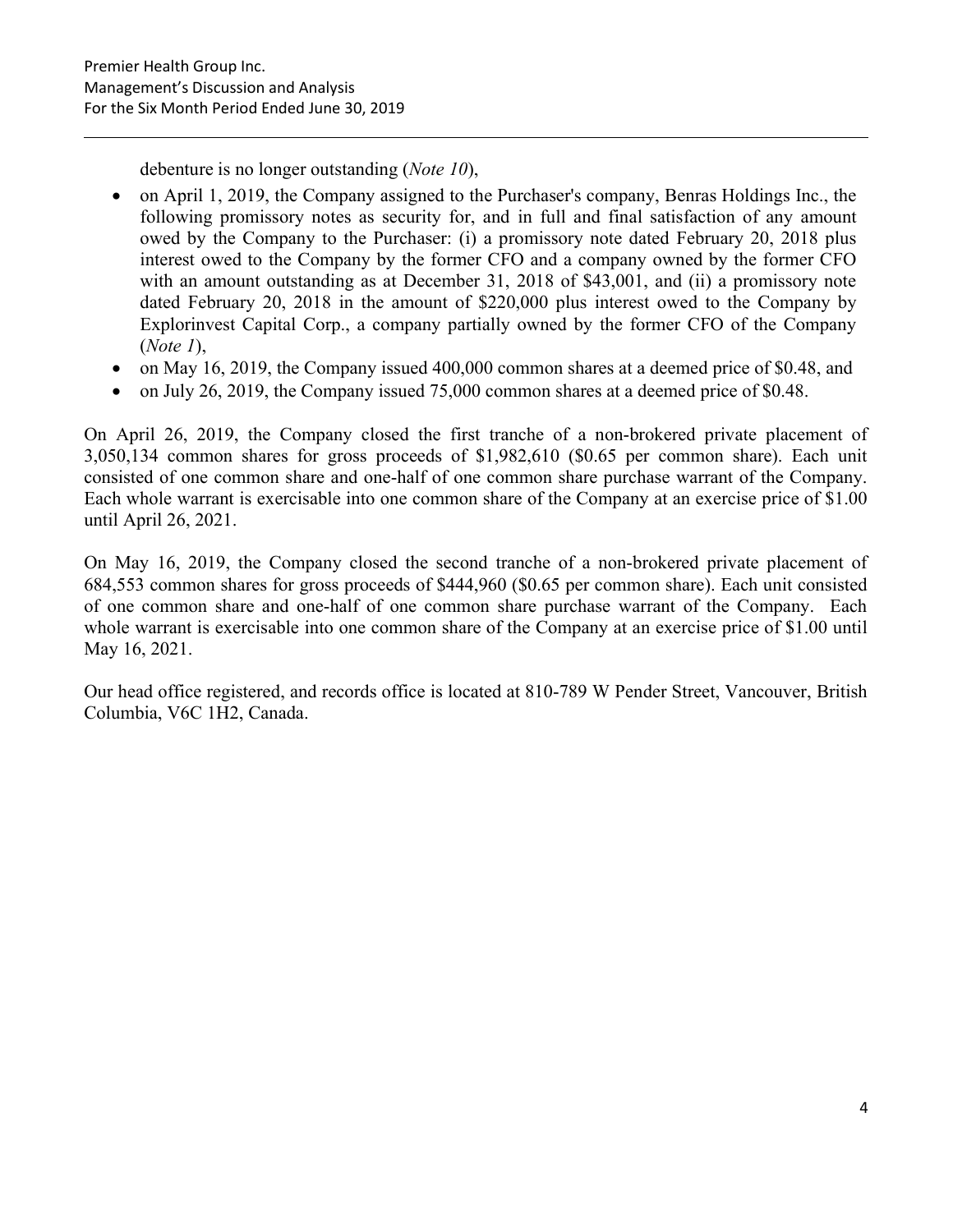debenture is no longer outstanding (*Note 10*),

- on April 1, 2019, the Company assigned to the Purchaser's company, Benras Holdings Inc., the following promissory notes as security for, and in full and final satisfaction of any amount owed by the Company to the Purchaser: (i) a promissory note dated February 20, 2018 plus interest owed to the Company by the former CFO and a company owned by the former CFO with an amount outstanding as at December 31, 2018 of \$43,001, and (ii) a promissory note dated February 20, 2018 in the amount of \$220,000 plus interest owed to the Company by Explorinvest Capital Corp., a company partially owned by the former CFO of the Company  $(Note 1).$
- on May 16, 2019, the Company issued 400,000 common shares at a deemed price of \$0.48, and
- on July 26, 2019, the Company issued 75,000 common shares at a deemed price of \$0.48.

On April 26, 2019, the Company closed the first tranche of a non-brokered private placement of 3,050,134 common shares for gross proceeds of \$1,982,610 (\$0.65 per common share). Each unit consisted of one common share and one-half of one common share purchase warrant of the Company. Each whole warrant is exercisable into one common share of the Company at an exercise price of \$1.00 until April 26, 2021.

On May 16, 2019, the Company closed the second tranche of a non-brokered private placement of 684,553 common shares for gross proceeds of \$444,960 (\$0.65 per common share). Each unit consisted of one common share and one-half of one common share purchase warrant of the Company. Each whole warrant is exercisable into one common share of the Company at an exercise price of \$1.00 until May 16, 2021.

Our head office registered, and records office is located at 810-789 W Pender Street, Vancouver, British Columbia, V6C 1H2, Canada.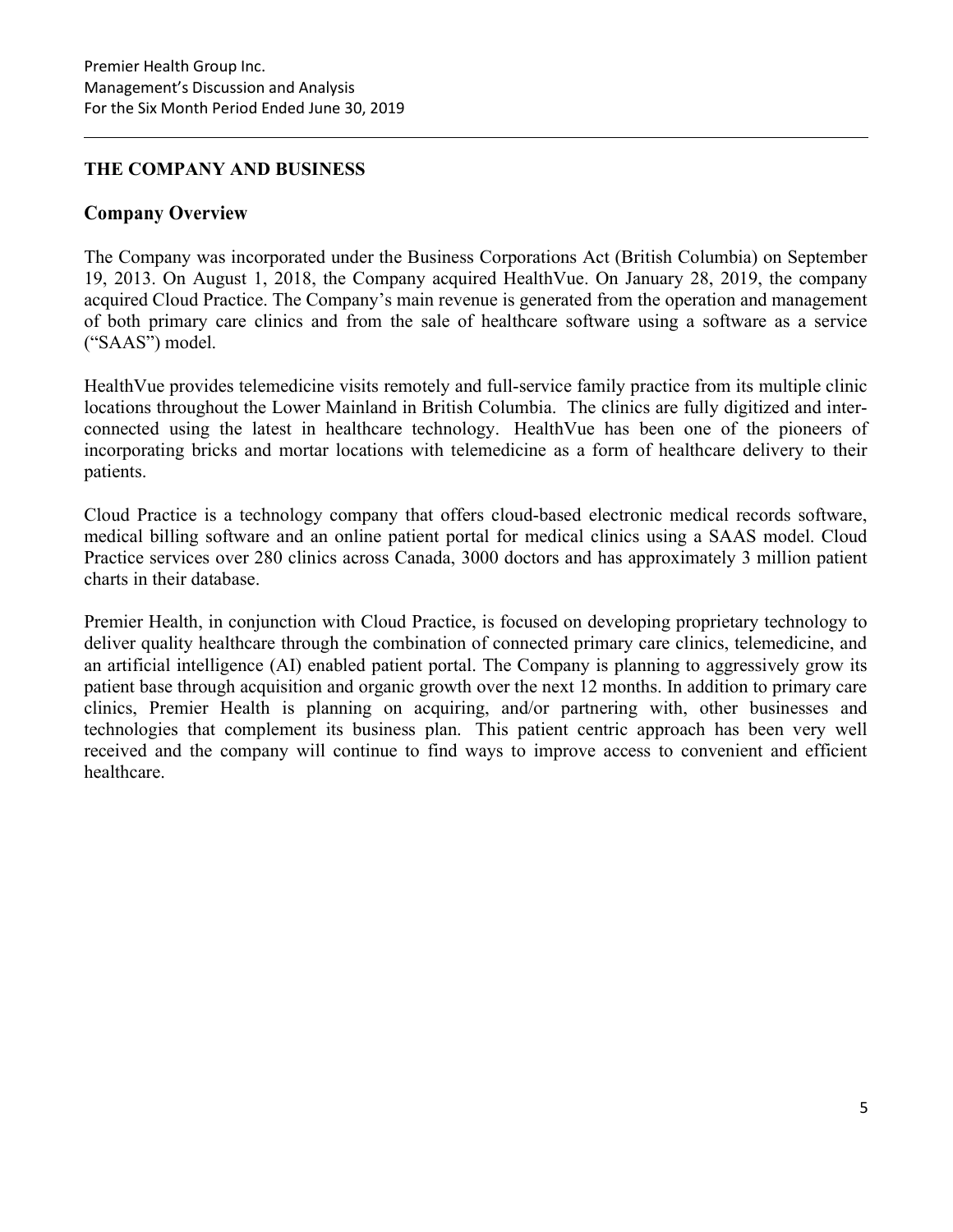### THE COMPANY AND BUSINESS

#### Company Overview

The Company was incorporated under the Business Corporations Act (British Columbia) on September 19, 2013. On August 1, 2018, the Company acquired HealthVue. On January 28, 2019, the company acquired Cloud Practice. The Company's main revenue is generated from the operation and management of both primary care clinics and from the sale of healthcare software using a software as a service ("SAAS") model.

HealthVue provides telemedicine visits remotely and full-service family practice from its multiple clinic locations throughout the Lower Mainland in British Columbia. The clinics are fully digitized and interconnected using the latest in healthcare technology. HealthVue has been one of the pioneers of incorporating bricks and mortar locations with telemedicine as a form of healthcare delivery to their patients.

Cloud Practice is a technology company that offers cloud-based electronic medical records software, medical billing software and an online patient portal for medical clinics using a SAAS model. Cloud Practice services over 280 clinics across Canada, 3000 doctors and has approximately 3 million patient charts in their database.

Premier Health, in conjunction with Cloud Practice, is focused on developing proprietary technology to deliver quality healthcare through the combination of connected primary care clinics, telemedicine, and an artificial intelligence (AI) enabled patient portal. The Company is planning to aggressively grow its patient base through acquisition and organic growth over the next 12 months. In addition to primary care clinics, Premier Health is planning on acquiring, and/or partnering with, other businesses and technologies that complement its business plan. This patient centric approach has been very well received and the company will continue to find ways to improve access to convenient and efficient healthcare.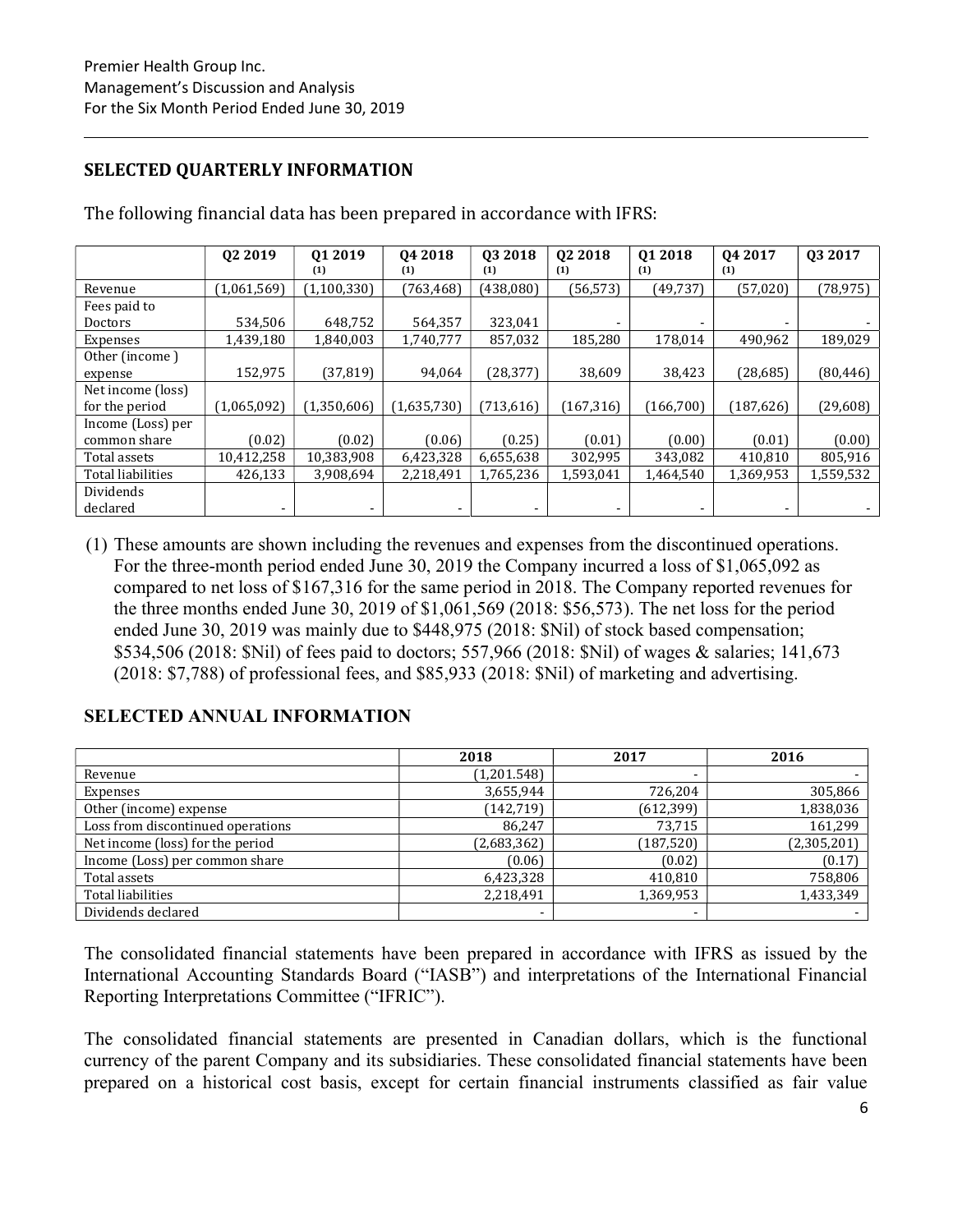## SELECTED QUARTERLY INFORMATION

|                   | 02 2019        | Q1 2019     | 04 2018     | 03 2018    | 02 2018    | Q1 2018   | 04 2017    | Q3 2017   |
|-------------------|----------------|-------------|-------------|------------|------------|-----------|------------|-----------|
|                   |                | (1)         | (1)         | (1)        | (1)        | (1)       | (1)        |           |
| Revenue           | (1,061,569)    | (1,100,330) | (763, 468)  | (438, 080) | (56, 573)  | (49, 737) | (57, 020)  | (78, 975) |
| Fees paid to      |                |             |             |            |            |           |            |           |
| Doctors           | 534,506        | 648,752     | 564,357     | 323,041    |            |           |            |           |
| Expenses          | 1,439,180      | 1,840,003   | 1,740,777   | 857,032    | 185,280    | 178,014   | 490,962    | 189,029   |
| Other (income)    |                |             |             |            |            |           |            |           |
| expense           | 152,975        | (37, 819)   | 94,064      | (28, 377)  | 38,609     | 38,423    | (28,685)   | (80, 446) |
| Net income (loss) |                |             |             |            |            |           |            |           |
| for the period    | (1,065,092)    | (1,350,606) | (1,635,730) | (713,616)  | (167, 316) | (166,700) | (187, 626) | (29,608)  |
| Income (Loss) per |                |             |             |            |            |           |            |           |
| common share      | (0.02)         | (0.02)      | (0.06)      | (0.25)     | (0.01)     | (0.00)    | (0.01)     | (0.00)    |
| Total assets      | 10,412,258     | 10,383,908  | 6,423,328   | 6,655,638  | 302,995    | 343,082   | 410,810    | 805,916   |
| Total liabilities | 426,133        | 3,908,694   | 2,218,491   | 1,765,236  | 1,593,041  | 1,464,540 | 1,369,953  | 1,559,532 |
| Dividends         |                |             |             |            |            |           |            |           |
| declared          | $\blacksquare$ |             |             |            | -          | ۰         | ۰          |           |

The following financial data has been prepared in accordance with IFRS:

(1) These amounts are shown including the revenues and expenses from the discontinued operations. For the three-month period ended June 30, 2019 the Company incurred a loss of \$1,065,092 as compared to net loss of \$167,316 for the same period in 2018. The Company reported revenues for the three months ended June 30, 2019 of \$1,061,569 (2018: \$56,573). The net loss for the period ended June 30, 2019 was mainly due to \$448,975 (2018: \$Nil) of stock based compensation; \$534,506 (2018: \$Nil) of fees paid to doctors; 557,966 (2018: \$Nil) of wages & salaries; 141,673 (2018: \$7,788) of professional fees, and \$85,933 (2018: \$Nil) of marketing and advertising.

## SELECTED ANNUAL INFORMATION

|                                   | 2018        | 2017                     | 2016        |
|-----------------------------------|-------------|--------------------------|-------------|
| Revenue                           | (1,201.548) | $\overline{\phantom{0}}$ |             |
| Expenses                          | 3,655,944   | 726,204                  | 305,866     |
| Other (income) expense            | (142, 719)  | (612, 399)               | 1,838,036   |
| Loss from discontinued operations | 86,247      | 73,715                   | 161,299     |
| Net income (loss) for the period  | (2,683,362) | (187, 520)               | (2,305,201) |
| Income (Loss) per common share    | (0.06)      | (0.02)                   | (0.17)      |
| Total assets                      | 6,423,328   | 410,810                  | 758,806     |
| Total liabilities                 | 2,218,491   | 1,369,953                | 1,433,349   |
| Dividends declared                |             | ۰                        |             |

The consolidated financial statements have been prepared in accordance with IFRS as issued by the International Accounting Standards Board ("IASB") and interpretations of the International Financial Reporting Interpretations Committee ("IFRIC").

The consolidated financial statements are presented in Canadian dollars, which is the functional currency of the parent Company and its subsidiaries. These consolidated financial statements have been prepared on a historical cost basis, except for certain financial instruments classified as fair value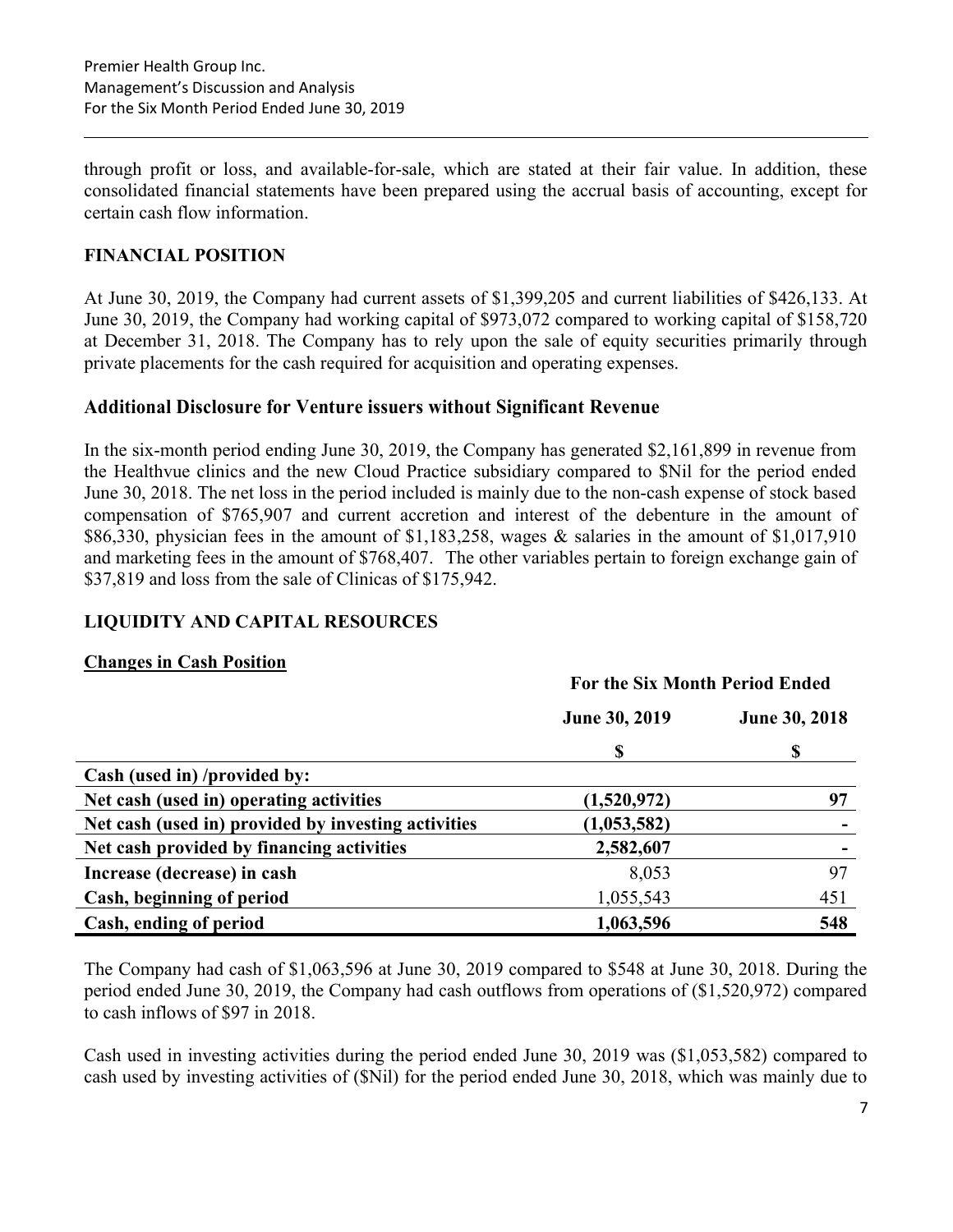through profit or loss, and available-for-sale, which are stated at their fair value. In addition, these consolidated financial statements have been prepared using the accrual basis of accounting, except for certain cash flow information.

### FINANCIAL POSITION

At June 30, 2019, the Company had current assets of \$1,399,205 and current liabilities of \$426,133. At June 30, 2019, the Company had working capital of \$973,072 compared to working capital of \$158,720 at December 31, 2018. The Company has to rely upon the sale of equity securities primarily through private placements for the cash required for acquisition and operating expenses.

#### Additional Disclosure for Venture issuers without Significant Revenue

In the six-month period ending June 30, 2019, the Company has generated \$2,161,899 in revenue from the Healthvue clinics and the new Cloud Practice subsidiary compared to \$Nil for the period ended June 30, 2018. The net loss in the period included is mainly due to the non-cash expense of stock based compensation of \$765,907 and current accretion and interest of the debenture in the amount of \$86,330, physician fees in the amount of \$1,183,258, wages & salaries in the amount of \$1,017,910 and marketing fees in the amount of \$768,407. The other variables pertain to foreign exchange gain of \$37,819 and loss from the sale of Clinicas of \$175,942.

### LIQUIDITY AND CAPITAL RESOURCES

### Changes in Cash Position

|                                                     | For the Six Month Period Ended |               |  |  |
|-----------------------------------------------------|--------------------------------|---------------|--|--|
|                                                     | <b>June 30, 2019</b>           | June 30, 2018 |  |  |
|                                                     | \$                             | S             |  |  |
| Cash (used in) /provided by:                        |                                |               |  |  |
| Net cash (used in) operating activities             | (1,520,972)                    | 97            |  |  |
| Net cash (used in) provided by investing activities | (1,053,582)                    |               |  |  |
| Net cash provided by financing activities           | 2,582,607                      |               |  |  |
| Increase (decrease) in cash                         | 8,053                          | 97            |  |  |
| Cash, beginning of period                           | 1,055,543                      | 451           |  |  |
| Cash, ending of period                              | 1,063,596                      | 548           |  |  |

The Company had cash of \$1,063,596 at June 30, 2019 compared to \$548 at June 30, 2018. During the period ended June 30, 2019, the Company had cash outflows from operations of (\$1,520,972) compared to cash inflows of \$97 in 2018.

Cash used in investing activities during the period ended June 30, 2019 was (\$1,053,582) compared to cash used by investing activities of (\$Nil) for the period ended June 30, 2018, which was mainly due to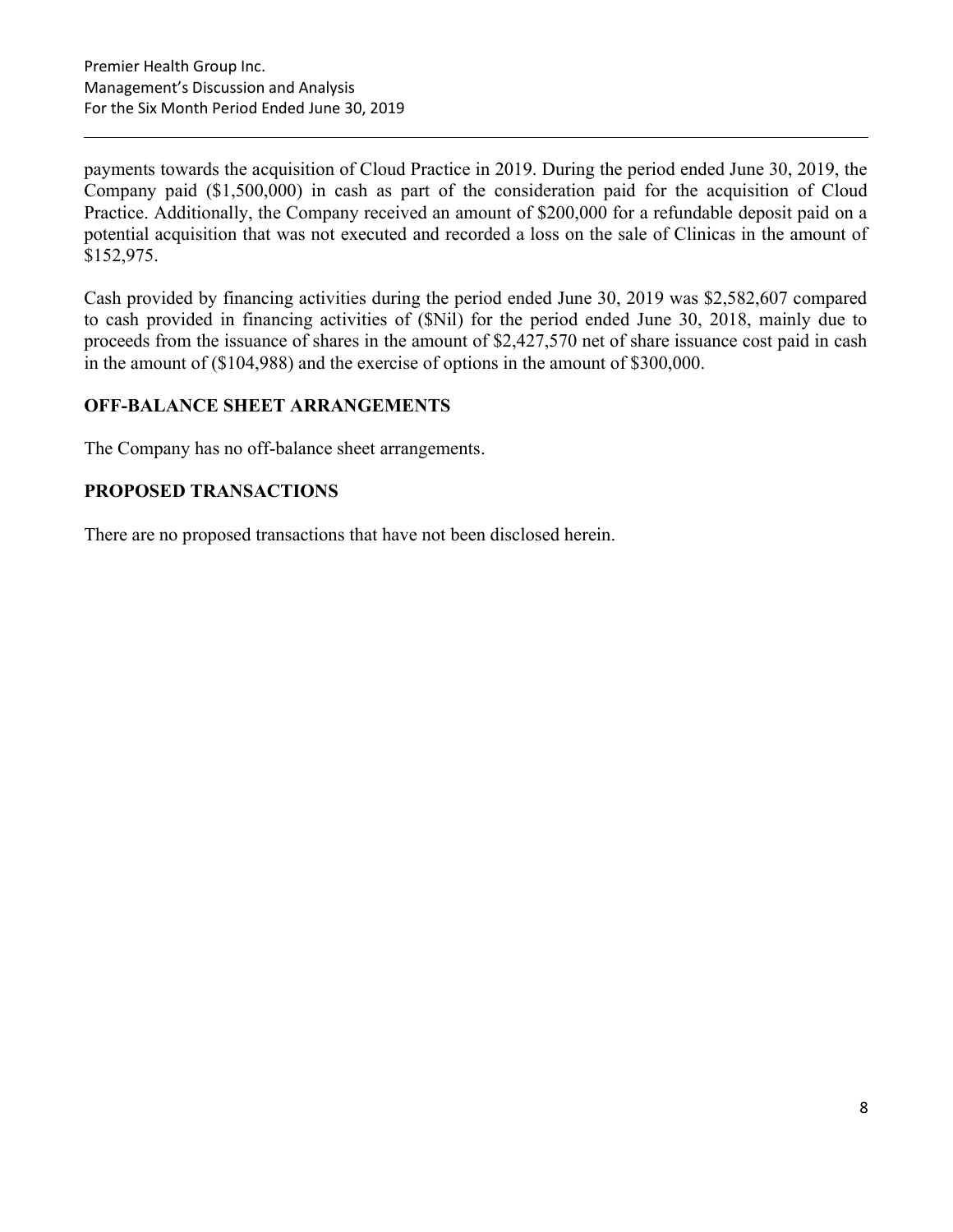payments towards the acquisition of Cloud Practice in 2019. During the period ended June 30, 2019, the Company paid (\$1,500,000) in cash as part of the consideration paid for the acquisition of Cloud Practice. Additionally, the Company received an amount of \$200,000 for a refundable deposit paid on a potential acquisition that was not executed and recorded a loss on the sale of Clinicas in the amount of \$152,975.

Cash provided by financing activities during the period ended June 30, 2019 was \$2,582,607 compared to cash provided in financing activities of (\$Nil) for the period ended June 30, 2018, mainly due to proceeds from the issuance of shares in the amount of \$2,427,570 net of share issuance cost paid in cash in the amount of (\$104,988) and the exercise of options in the amount of \$300,000.

## OFF-BALANCE SHEET ARRANGEMENTS

The Company has no off-balance sheet arrangements.

### PROPOSED TRANSACTIONS

There are no proposed transactions that have not been disclosed herein.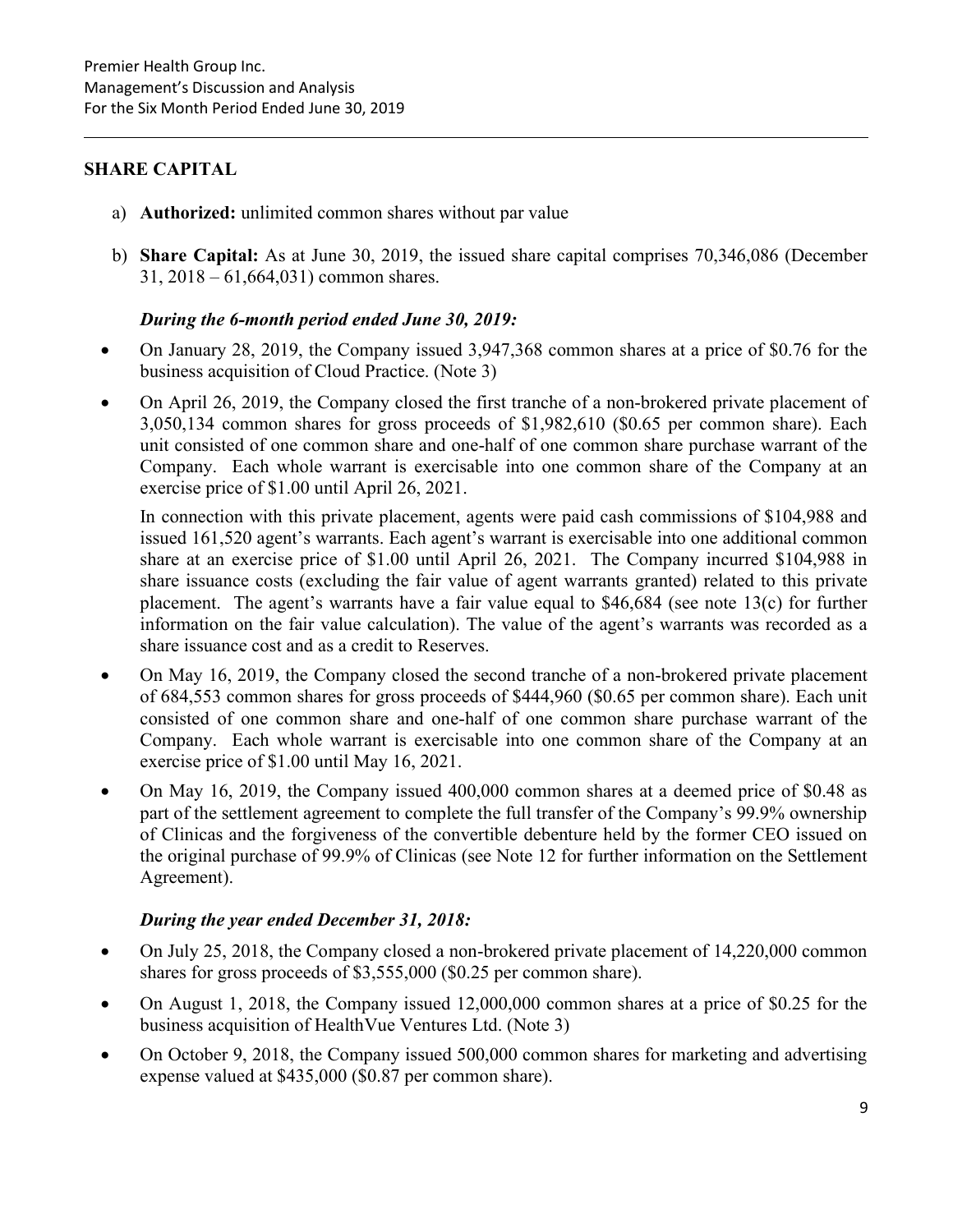#### SHARE CAPITAL

- a) Authorized: unlimited common shares without par value
- b) Share Capital: As at June 30, 2019, the issued share capital comprises 70,346,086 (December 31, 2018 – 61,664,031) common shares.

#### During the 6-month period ended June 30, 2019:

- On January 28, 2019, the Company issued 3,947,368 common shares at a price of \$0.76 for the business acquisition of Cloud Practice. (Note 3)
- On April 26, 2019, the Company closed the first tranche of a non-brokered private placement of 3,050,134 common shares for gross proceeds of \$1,982,610 (\$0.65 per common share). Each unit consisted of one common share and one-half of one common share purchase warrant of the Company. Each whole warrant is exercisable into one common share of the Company at an exercise price of \$1.00 until April 26, 2021.

In connection with this private placement, agents were paid cash commissions of \$104,988 and issued 161,520 agent's warrants. Each agent's warrant is exercisable into one additional common share at an exercise price of \$1.00 until April 26, 2021. The Company incurred \$104,988 in share issuance costs (excluding the fair value of agent warrants granted) related to this private placement. The agent's warrants have a fair value equal to \$46,684 (see note 13(c) for further information on the fair value calculation). The value of the agent's warrants was recorded as a share issuance cost and as a credit to Reserves.

- On May 16, 2019, the Company closed the second tranche of a non-brokered private placement of 684,553 common shares for gross proceeds of \$444,960 (\$0.65 per common share). Each unit consisted of one common share and one-half of one common share purchase warrant of the Company. Each whole warrant is exercisable into one common share of the Company at an exercise price of \$1.00 until May 16, 2021.
- On May 16, 2019, the Company issued 400,000 common shares at a deemed price of \$0.48 as part of the settlement agreement to complete the full transfer of the Company's 99.9% ownership of Clinicas and the forgiveness of the convertible debenture held by the former CEO issued on the original purchase of 99.9% of Clinicas (see Note 12 for further information on the Settlement Agreement).

#### During the year ended December 31, 2018:

- On July 25, 2018, the Company closed a non-brokered private placement of 14,220,000 common shares for gross proceeds of \$3,555,000 (\$0.25 per common share).
- On August 1, 2018, the Company issued 12,000,000 common shares at a price of \$0.25 for the business acquisition of HealthVue Ventures Ltd. (Note 3)
- On October 9, 2018, the Company issued 500,000 common shares for marketing and advertising expense valued at \$435,000 (\$0.87 per common share).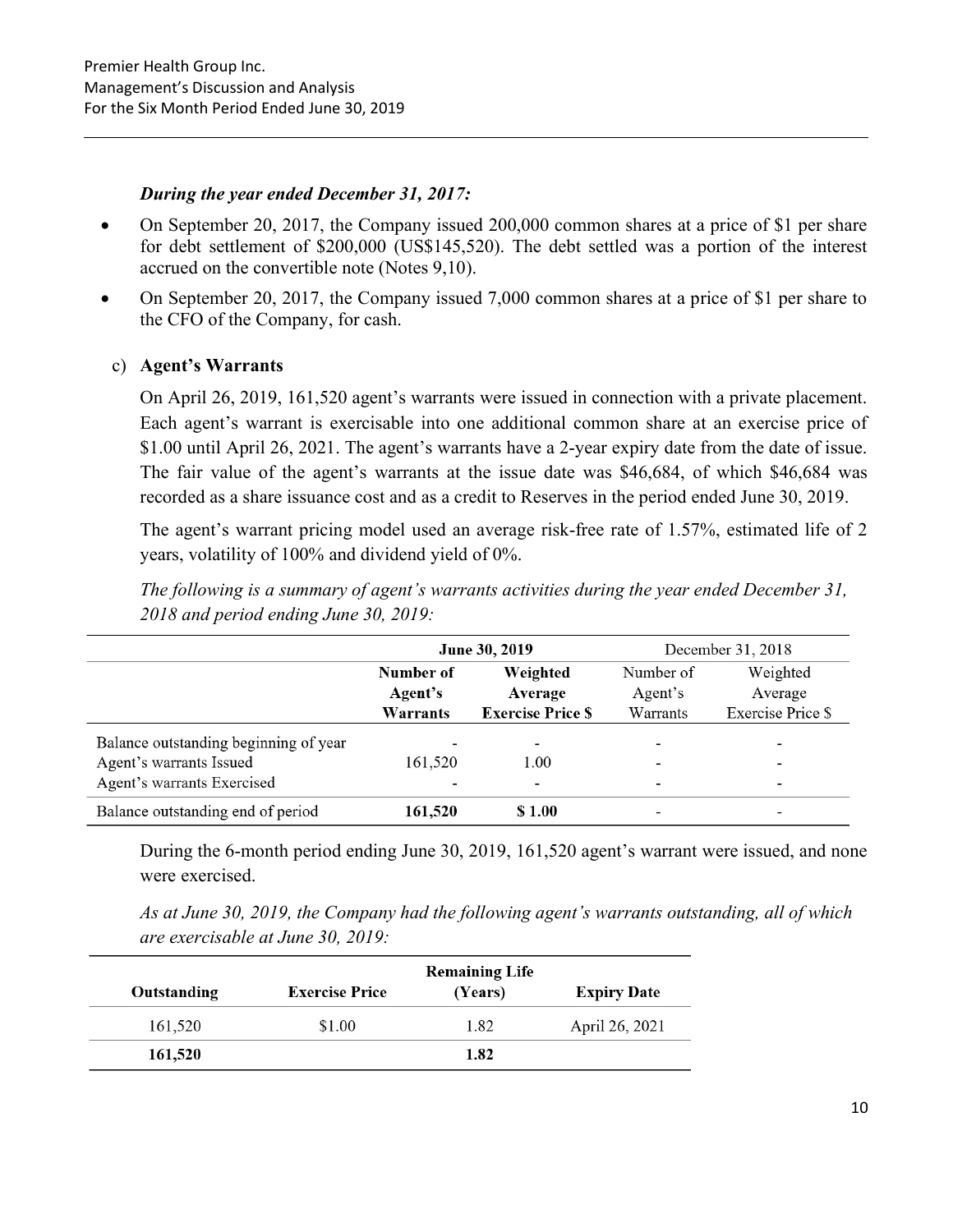#### During the year ended December 31, 2017:

- On September 20, 2017, the Company issued 200,000 common shares at a price of \$1 per share for debt settlement of \$200,000 (US\$145,520). The debt settled was a portion of the interest accrued on the convertible note (Notes 9,10).
- On September 20, 2017, the Company issued 7,000 common shares at a price of \$1 per share to the CFO of the Company, for cash.

#### c) Agent's Warrants

On April 26, 2019, 161,520 agent's warrants were issued in connection with a private placement. Each agent's warrant is exercisable into one additional common share at an exercise price of \$1.00 until April 26, 2021. The agent's warrants have a 2-year expiry date from the date of issue. The fair value of the agent's warrants at the issue date was \$46,684, of which \$46,684 was recorded as a share issuance cost and as a credit to Reserves in the period ended June 30, 2019.

The agent's warrant pricing model used an average risk-free rate of 1.57%, estimated life of 2 years, volatility of 100% and dividend yield of 0%.

|                                       |                                             | June 30, 2019            |                          | December 31, 2018        |  |  |
|---------------------------------------|---------------------------------------------|--------------------------|--------------------------|--------------------------|--|--|
|                                       | Number of<br>Weighted<br>Average<br>Agent's |                          | Number of                | Weighted                 |  |  |
|                                       |                                             |                          | Agent's                  | Average                  |  |  |
|                                       | Warrants                                    | <b>Exercise Price \$</b> | Warrants                 | <b>Exercise Price \$</b> |  |  |
| Balance outstanding beginning of year |                                             | $\overline{\phantom{a}}$ | $\blacksquare$           | $\overline{\phantom{0}}$ |  |  |
| Agent's warrants Issued               | 161.520                                     | 1.00                     |                          | $\overline{\phantom{a}}$ |  |  |
| Agent's warrants Exercised            |                                             |                          | $\overline{\phantom{a}}$ | $\overline{\phantom{0}}$ |  |  |
| Balance outstanding end of period     | 161,520                                     | \$1.00                   |                          |                          |  |  |

The following is a summary of agent's warrants activities during the year ended December 31, 2018 and period ending June 30, 2019:

During the 6-month period ending June 30, 2019, 161,520 agent's warrant were issued, and none were exercised.

As at June 30, 2019, the Company had the following agent's warrants outstanding, all of which are exercisable at June 30, 2019:

|             |                       | <b>Remaining Life</b> |                    |
|-------------|-----------------------|-----------------------|--------------------|
| Outstanding | <b>Exercise Price</b> | (Years)               | <b>Expiry Date</b> |
| 161,520     | \$1.00                | 1.82                  | April 26, 2021     |
| 161,520     |                       | 1.82                  |                    |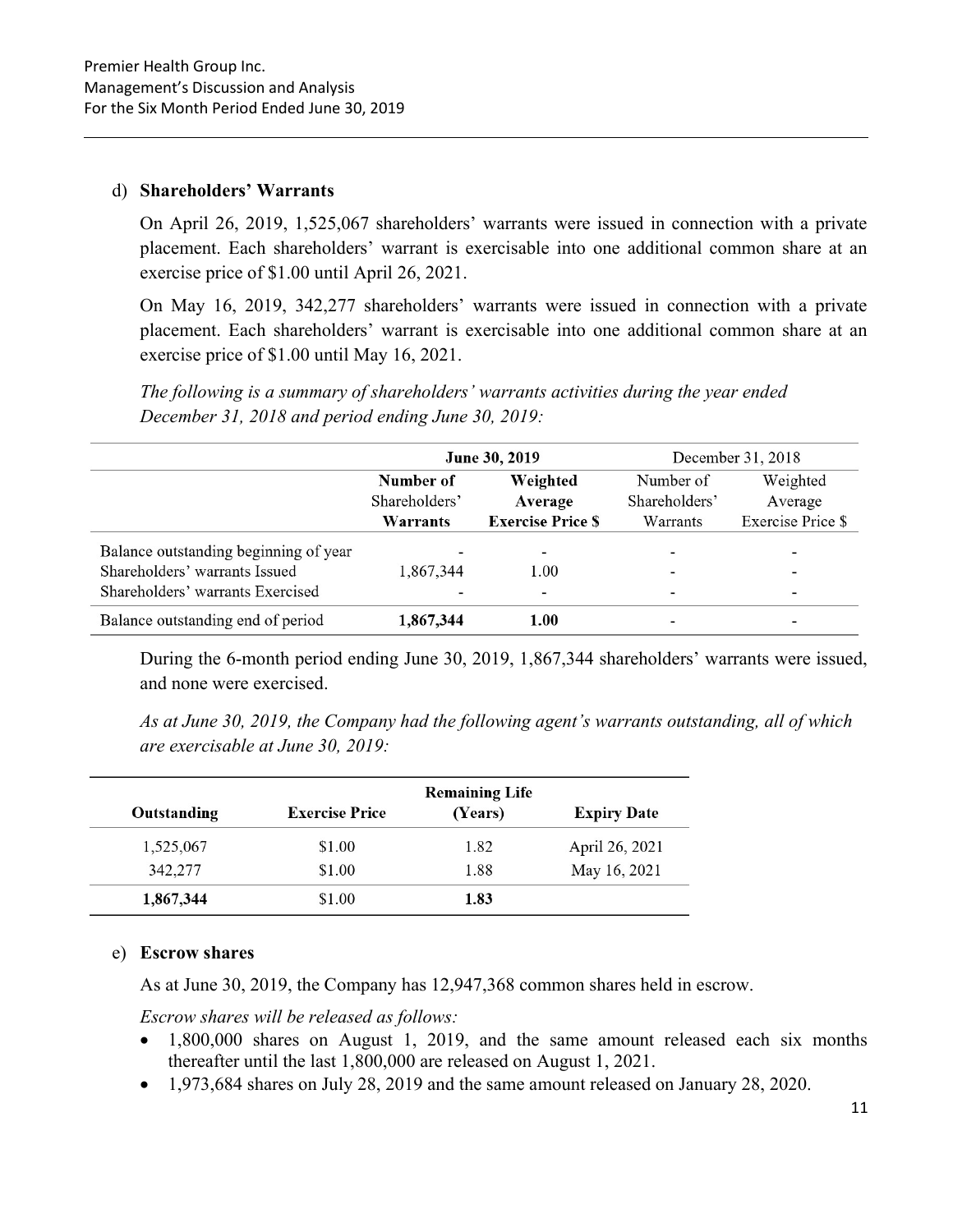#### d) Shareholders' Warrants

On April 26, 2019, 1,525,067 shareholders' warrants were issued in connection with a private placement. Each shareholders' warrant is exercisable into one additional common share at an exercise price of \$1.00 until April 26, 2021.

On May 16, 2019, 342,277 shareholders' warrants were issued in connection with a private placement. Each shareholders' warrant is exercisable into one additional common share at an exercise price of \$1.00 until May 16, 2021.

The following is a summary of shareholders' warrants activities during the year ended December 31, 2018 and period ending June 30, 2019:

|                                       |                                                   | June 30, 2019            |                          | December 31, 2018        |  |  |
|---------------------------------------|---------------------------------------------------|--------------------------|--------------------------|--------------------------|--|--|
|                                       | Number of<br>Weighted<br>Shareholders'<br>Average |                          | Number of                | Weighted                 |  |  |
|                                       |                                                   |                          | Shareholders'            | Average                  |  |  |
|                                       | Warrants                                          | <b>Exercise Price \$</b> | Warrants                 | <b>Exercise Price \$</b> |  |  |
| Balance outstanding beginning of year |                                                   |                          |                          |                          |  |  |
| Shareholders' warrants Issued         | 1,867,344                                         | 1.00                     | $\overline{\phantom{a}}$ | -                        |  |  |
| Shareholders' warrants Exercised      |                                                   | -                        | $\overline{\phantom{a}}$ | -                        |  |  |
| Balance outstanding end of period     | 1,867,344                                         | 1.00                     | $\overline{\phantom{a}}$ |                          |  |  |

During the 6-month period ending June 30, 2019, 1,867,344 shareholders' warrants were issued, and none were exercised.

As at June 30, 2019, the Company had the following agent's warrants outstanding, all of which are exercisable at June 30, 2019:

|             |                       | <b>Remaining Life</b> |                    |
|-------------|-----------------------|-----------------------|--------------------|
| Outstanding | <b>Exercise Price</b> | (Years)               | <b>Expiry Date</b> |
| 1,525,067   | \$1.00                | 1.82                  | April 26, 2021     |
| 342,277     | \$1.00                | 1.88                  | May 16, 2021       |
| 1,867,344   | \$1.00                | 1.83                  |                    |

### e) Escrow shares

As at June 30, 2019, the Company has 12,947,368 common shares held in escrow.

Escrow shares will be released as follows:

- 1,800,000 shares on August 1, 2019, and the same amount released each six months thereafter until the last 1,800,000 are released on August 1, 2021.
- 1,973,684 shares on July 28, 2019 and the same amount released on January 28, 2020.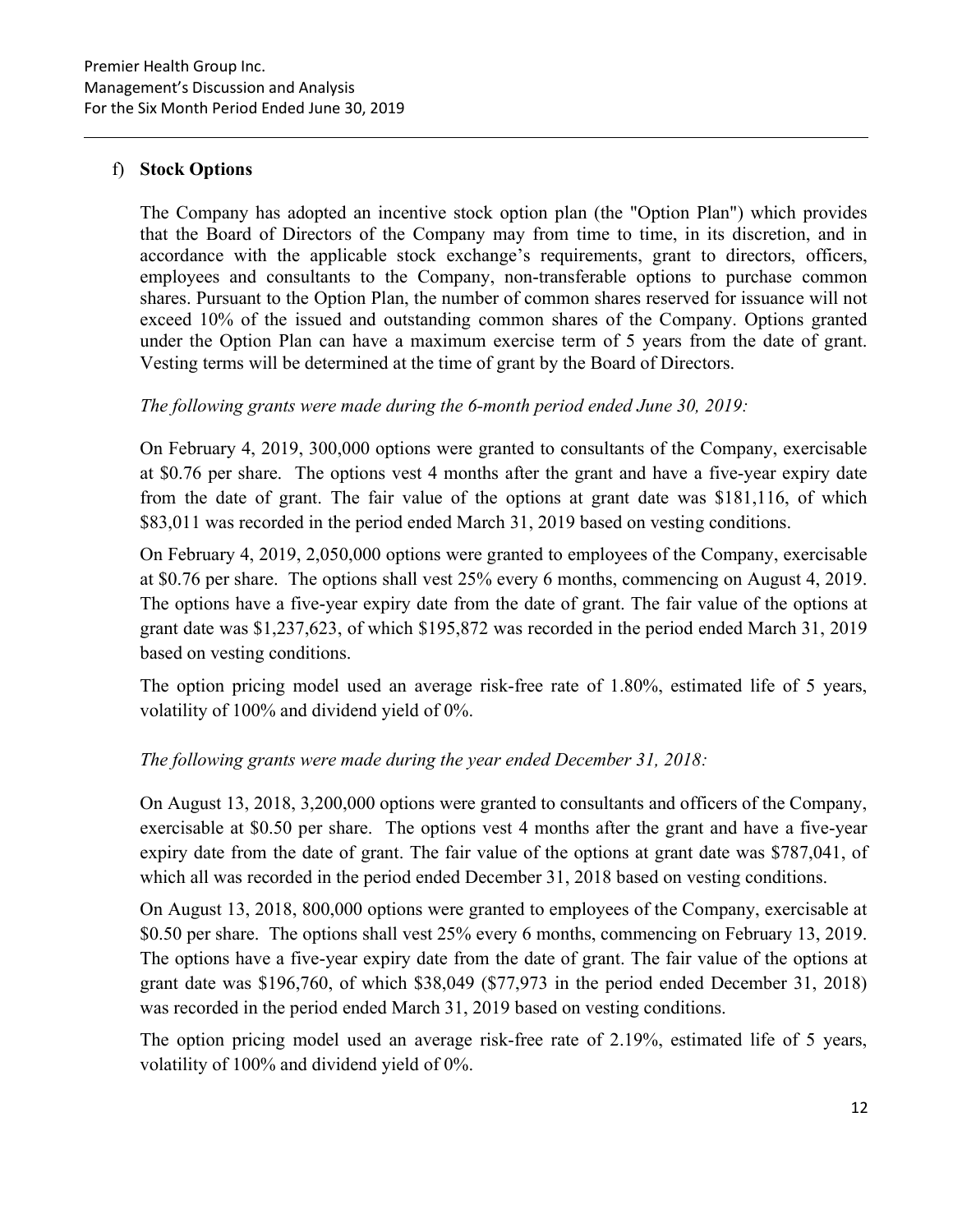## f) Stock Options

The Company has adopted an incentive stock option plan (the "Option Plan") which provides that the Board of Directors of the Company may from time to time, in its discretion, and in accordance with the applicable stock exchange's requirements, grant to directors, officers, employees and consultants to the Company, non-transferable options to purchase common shares. Pursuant to the Option Plan, the number of common shares reserved for issuance will not exceed 10% of the issued and outstanding common shares of the Company. Options granted under the Option Plan can have a maximum exercise term of 5 years from the date of grant. Vesting terms will be determined at the time of grant by the Board of Directors.

### The following grants were made during the 6-month period ended June 30, 2019:

On February 4, 2019, 300,000 options were granted to consultants of the Company, exercisable at \$0.76 per share. The options vest 4 months after the grant and have a five-year expiry date from the date of grant. The fair value of the options at grant date was \$181,116, of which \$83,011 was recorded in the period ended March 31, 2019 based on vesting conditions.

On February 4, 2019, 2,050,000 options were granted to employees of the Company, exercisable at \$0.76 per share. The options shall vest 25% every 6 months, commencing on August 4, 2019. The options have a five-year expiry date from the date of grant. The fair value of the options at grant date was \$1,237,623, of which \$195,872 was recorded in the period ended March 31, 2019 based on vesting conditions.

The option pricing model used an average risk-free rate of 1.80%, estimated life of 5 years, volatility of 100% and dividend yield of 0%.

## The following grants were made during the year ended December 31, 2018:

On August 13, 2018, 3,200,000 options were granted to consultants and officers of the Company, exercisable at \$0.50 per share. The options vest 4 months after the grant and have a five-year expiry date from the date of grant. The fair value of the options at grant date was \$787,041, of which all was recorded in the period ended December 31, 2018 based on vesting conditions.

On August 13, 2018, 800,000 options were granted to employees of the Company, exercisable at \$0.50 per share. The options shall vest 25% every 6 months, commencing on February 13, 2019. The options have a five-year expiry date from the date of grant. The fair value of the options at grant date was \$196,760, of which \$38,049 (\$77,973 in the period ended December 31, 2018) was recorded in the period ended March 31, 2019 based on vesting conditions.

The option pricing model used an average risk-free rate of 2.19%, estimated life of 5 years, volatility of 100% and dividend yield of 0%.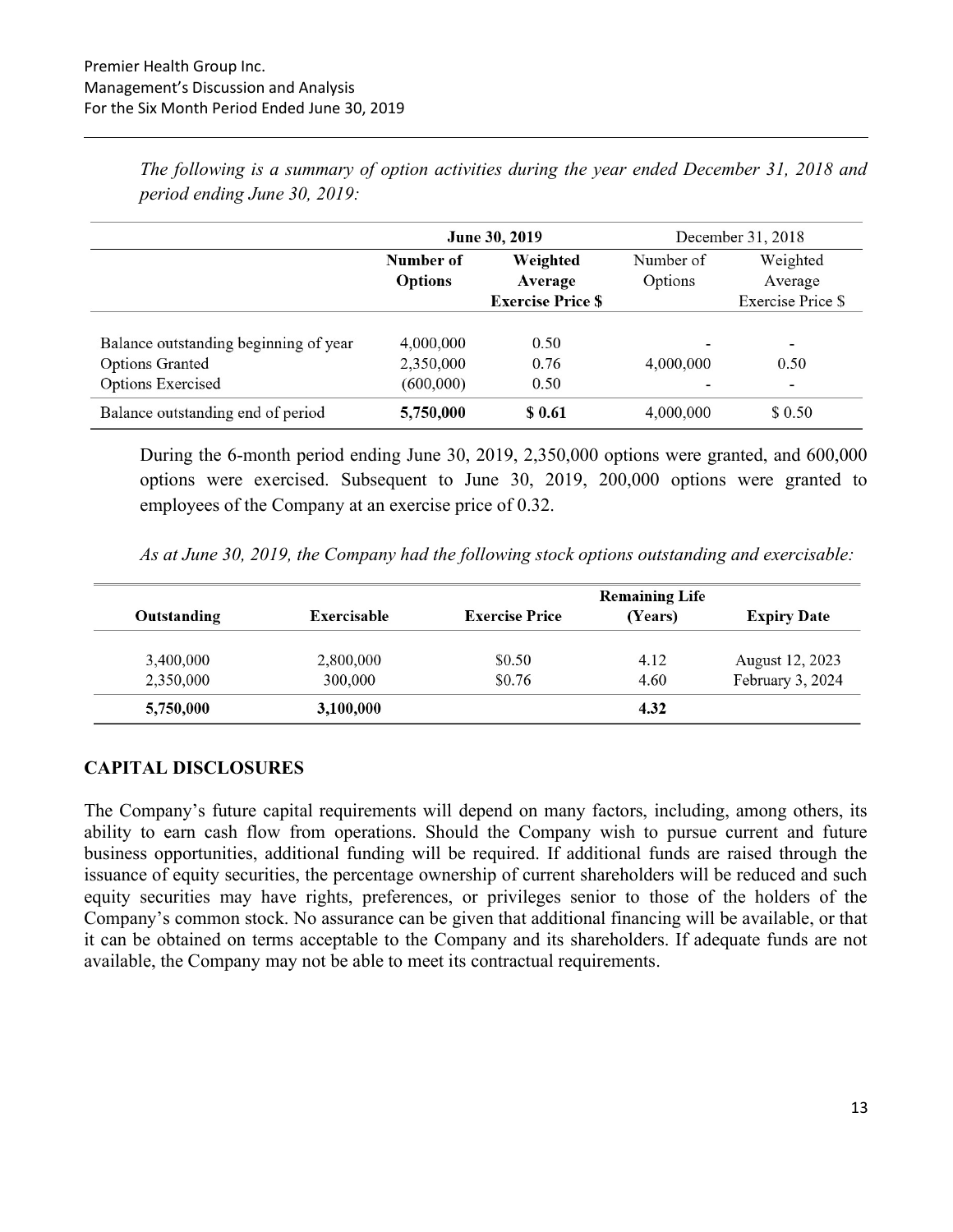|                                       |                          | June 30, 2019 |           | December 31, 2018        |  |  |
|---------------------------------------|--------------------------|---------------|-----------|--------------------------|--|--|
|                                       | Weighted<br>Number of    |               | Number of | Weighted                 |  |  |
|                                       | <b>Options</b>           | Average       | Options   | Average                  |  |  |
|                                       | <b>Exercise Price \$</b> |               |           | <b>Exercise Price \$</b> |  |  |
|                                       |                          |               |           |                          |  |  |
| Balance outstanding beginning of year | 4,000,000                | 0.50          |           | $\overline{\phantom{a}}$ |  |  |
| <b>Options Granted</b>                | 2,350,000                | 0.76          | 4,000,000 | 0.50                     |  |  |
| Options Exercised                     | (600,000)                | 0.50          | ۰         | $\overline{\phantom{a}}$ |  |  |
| Balance outstanding end of period     | 5,750,000                | \$ 0.61       | 4,000,000 | \$ 0.50                  |  |  |

The following is a summary of option activities during the year ended December 31, 2018 and period ending June 30, 2019:

During the 6-month period ending June 30, 2019, 2,350,000 options were granted, and 600,000 options were exercised. Subsequent to June 30, 2019, 200,000 options were granted to employees of the Company at an exercise price of 0.32.

As at June 30, 2019, the Company had the following stock options outstanding and exercisable:

|             |             |                       | <b>Remaining Life</b> |                    |
|-------------|-------------|-----------------------|-----------------------|--------------------|
| Outstanding | Exercisable | <b>Exercise Price</b> | (Years)               | <b>Expiry Date</b> |
| 3,400,000   | 2,800,000   | \$0.50                | 4.12                  | August 12, 2023    |
| 2,350,000   | 300,000     | \$0.76                | 4.60                  | February 3, 2024   |
| 5,750,000   | 3,100,000   |                       | 4.32                  |                    |

#### CAPITAL DISCLOSURES

The Company's future capital requirements will depend on many factors, including, among others, its ability to earn cash flow from operations. Should the Company wish to pursue current and future business opportunities, additional funding will be required. If additional funds are raised through the issuance of equity securities, the percentage ownership of current shareholders will be reduced and such equity securities may have rights, preferences, or privileges senior to those of the holders of the Company's common stock. No assurance can be given that additional financing will be available, or that it can be obtained on terms acceptable to the Company and its shareholders. If adequate funds are not available, the Company may not be able to meet its contractual requirements.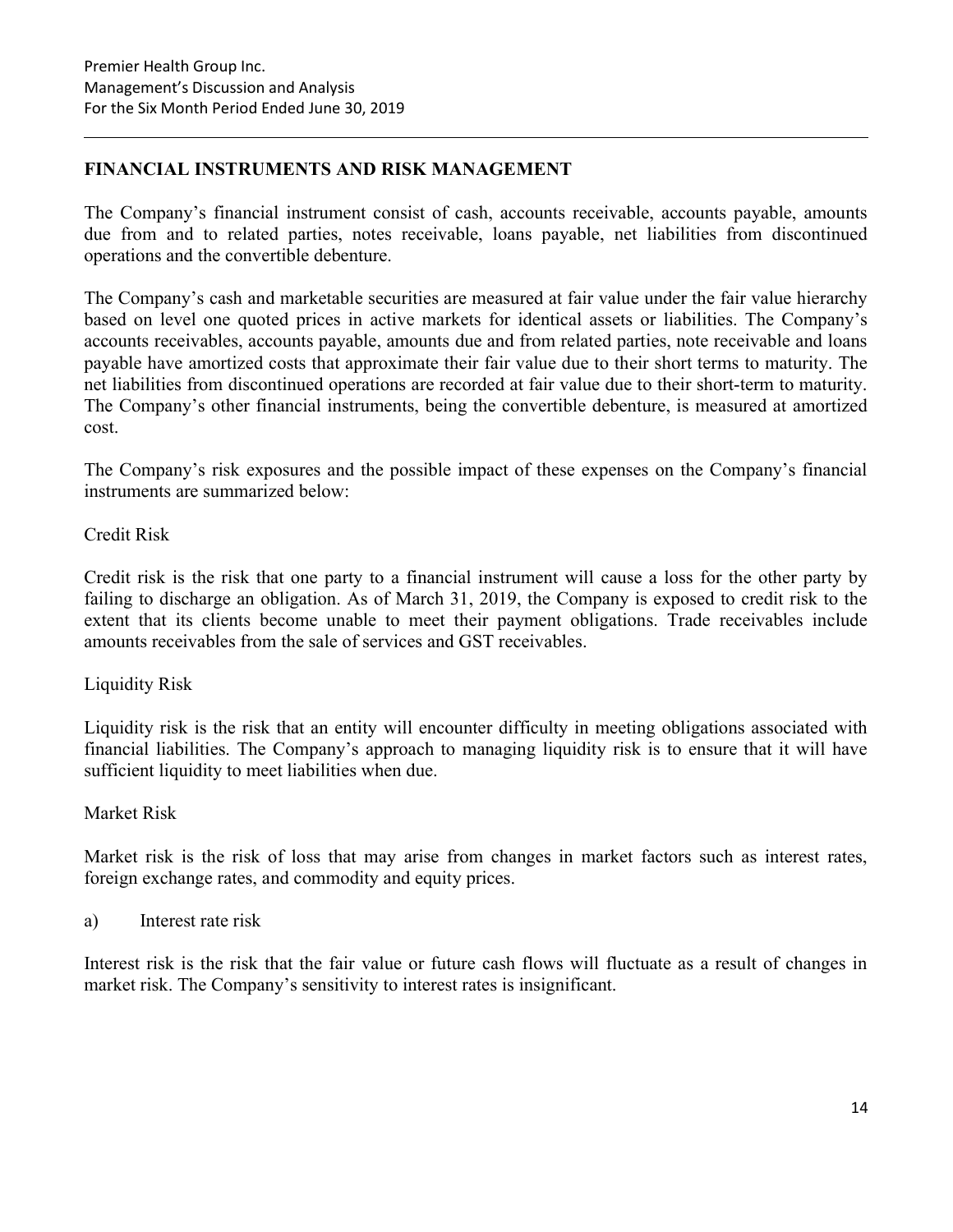### FINANCIAL INSTRUMENTS AND RISK MANAGEMENT

The Company's financial instrument consist of cash, accounts receivable, accounts payable, amounts due from and to related parties, notes receivable, loans payable, net liabilities from discontinued operations and the convertible debenture.

The Company's cash and marketable securities are measured at fair value under the fair value hierarchy based on level one quoted prices in active markets for identical assets or liabilities. The Company's accounts receivables, accounts payable, amounts due and from related parties, note receivable and loans payable have amortized costs that approximate their fair value due to their short terms to maturity. The net liabilities from discontinued operations are recorded at fair value due to their short-term to maturity. The Company's other financial instruments, being the convertible debenture, is measured at amortized cost.

The Company's risk exposures and the possible impact of these expenses on the Company's financial instruments are summarized below:

Credit Risk

Credit risk is the risk that one party to a financial instrument will cause a loss for the other party by failing to discharge an obligation. As of March 31, 2019, the Company is exposed to credit risk to the extent that its clients become unable to meet their payment obligations. Trade receivables include amounts receivables from the sale of services and GST receivables.

### Liquidity Risk

Liquidity risk is the risk that an entity will encounter difficulty in meeting obligations associated with financial liabilities. The Company's approach to managing liquidity risk is to ensure that it will have sufficient liquidity to meet liabilities when due.

#### Market Risk

Market risk is the risk of loss that may arise from changes in market factors such as interest rates, foreign exchange rates, and commodity and equity prices.

a) Interest rate risk

Interest risk is the risk that the fair value or future cash flows will fluctuate as a result of changes in market risk. The Company's sensitivity to interest rates is insignificant.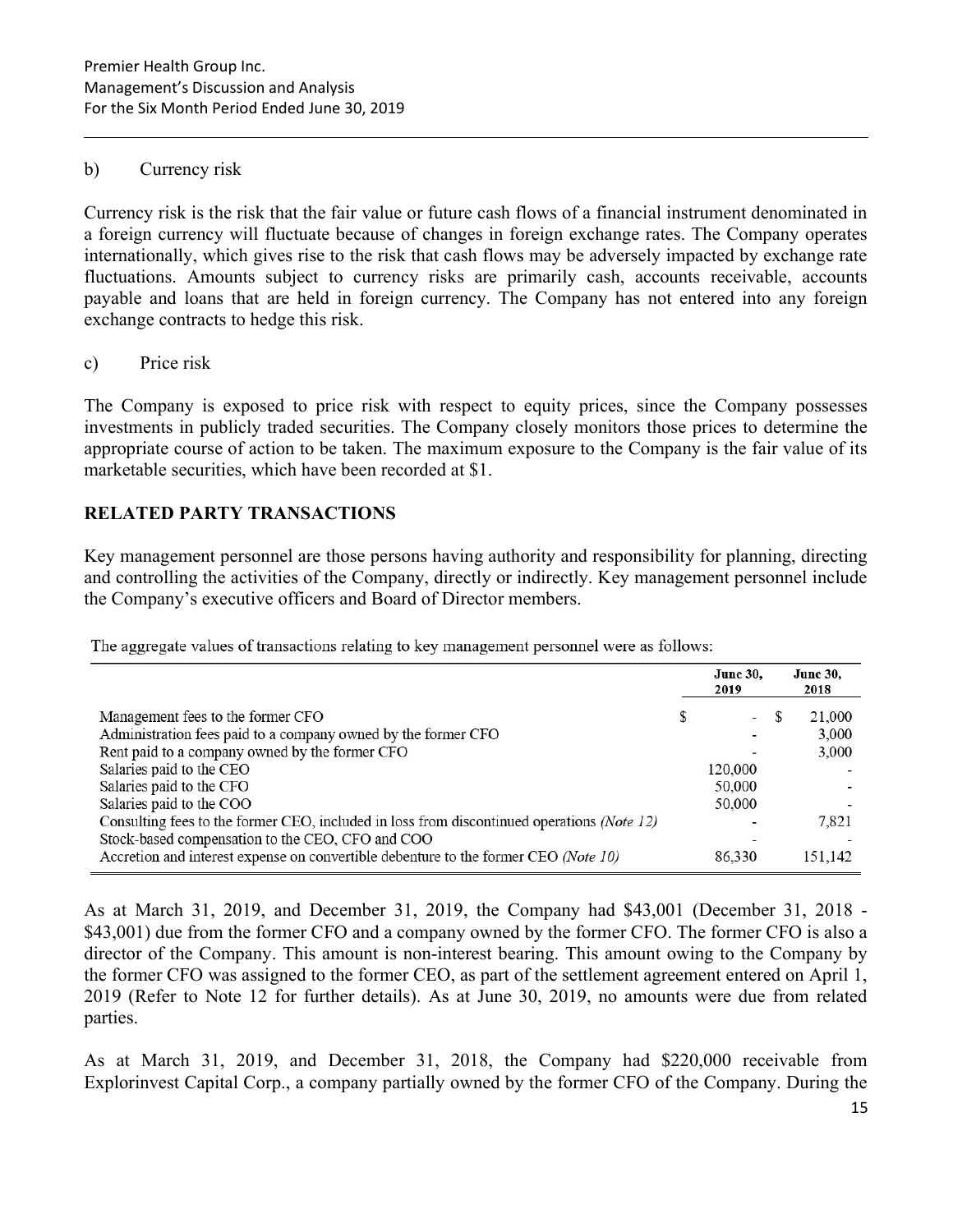#### b) Currency risk

Currency risk is the risk that the fair value or future cash flows of a financial instrument denominated in a foreign currency will fluctuate because of changes in foreign exchange rates. The Company operates internationally, which gives rise to the risk that cash flows may be adversely impacted by exchange rate fluctuations. Amounts subject to currency risks are primarily cash, accounts receivable, accounts payable and loans that are held in foreign currency. The Company has not entered into any foreign exchange contracts to hedge this risk.

#### c) Price risk

The Company is exposed to price risk with respect to equity prices, since the Company possesses investments in publicly traded securities. The Company closely monitors those prices to determine the appropriate course of action to be taken. The maximum exposure to the Company is the fair value of its marketable securities, which have been recorded at \$1.

## RELATED PARTY TRANSACTIONS

Key management personnel are those persons having authority and responsibility for planning, directing and controlling the activities of the Company, directly or indirectly. Key management personnel include the Company's executive officers and Board of Director members.

| The aggregate values of transactions relating to key management personnel were as follows: |  |  |
|--------------------------------------------------------------------------------------------|--|--|
|--------------------------------------------------------------------------------------------|--|--|

|                                                                                                                                         | <b>June 30.</b><br>2019  |  | <b>June 30,</b><br>2018 |  |
|-----------------------------------------------------------------------------------------------------------------------------------------|--------------------------|--|-------------------------|--|
| Management fees to the former CFO                                                                                                       | $\overline{\phantom{a}}$ |  | 21,000                  |  |
| Administration fees paid to a company owned by the former CFO<br>Rent paid to a company owned by the former CFO                         |                          |  | 3,000<br>3,000          |  |
| Salaries paid to the CEO<br>Salaries paid to the CFO                                                                                    | 120,000<br>50,000        |  |                         |  |
| Salaries paid to the COO<br>Consulting fees to the former CEO, included in loss from discontinued operations (Note 12)                  | 50,000                   |  | 7,821                   |  |
| Stock-based compensation to the CEO, CFO and COO<br>Accretion and interest expense on convertible debenture to the former CEO (Note 10) | 86,330                   |  | 151.142                 |  |

As at March 31, 2019, and December 31, 2019, the Company had \$43,001 (December 31, 2018 - \$43,001) due from the former CFO and a company owned by the former CFO. The former CFO is also a director of the Company. This amount is non-interest bearing. This amount owing to the Company by the former CFO was assigned to the former CEO, as part of the settlement agreement entered on April 1, 2019 (Refer to Note 12 for further details). As at June 30, 2019, no amounts were due from related parties.

As at March 31, 2019, and December 31, 2018, the Company had \$220,000 receivable from Explorinvest Capital Corp., a company partially owned by the former CFO of the Company. During the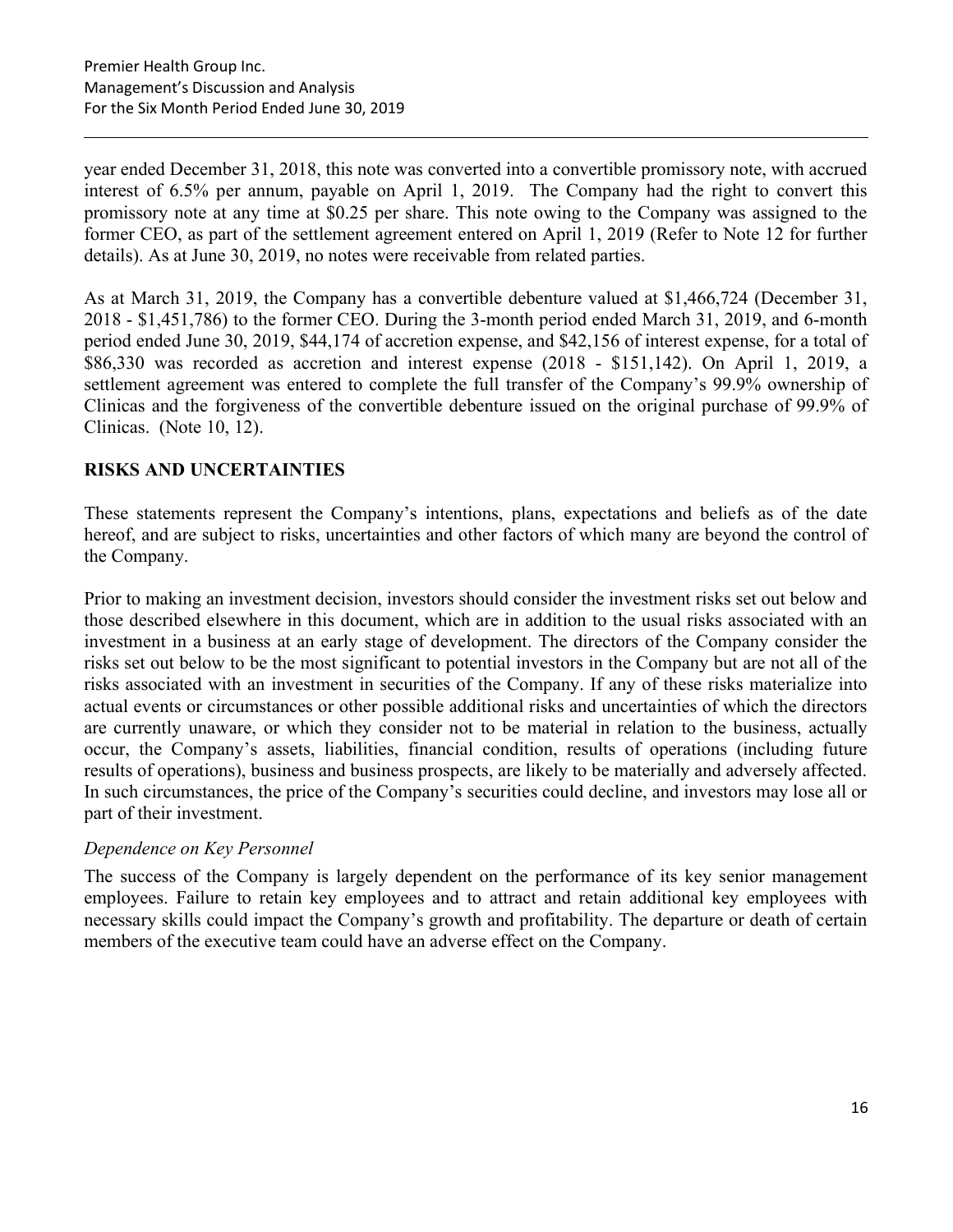year ended December 31, 2018, this note was converted into a convertible promissory note, with accrued interest of 6.5% per annum, payable on April 1, 2019. The Company had the right to convert this promissory note at any time at \$0.25 per share. This note owing to the Company was assigned to the former CEO, as part of the settlement agreement entered on April 1, 2019 (Refer to Note 12 for further details). As at June 30, 2019, no notes were receivable from related parties.

As at March 31, 2019, the Company has a convertible debenture valued at \$1,466,724 (December 31, 2018 - \$1,451,786) to the former CEO. During the 3-month period ended March 31, 2019, and 6-month period ended June 30, 2019, \$44,174 of accretion expense, and \$42,156 of interest expense, for a total of \$86,330 was recorded as accretion and interest expense (2018 - \$151,142). On April 1, 2019, a settlement agreement was entered to complete the full transfer of the Company's 99.9% ownership of Clinicas and the forgiveness of the convertible debenture issued on the original purchase of 99.9% of Clinicas. (Note 10, 12).

## RISKS AND UNCERTAINTIES

These statements represent the Company's intentions, plans, expectations and beliefs as of the date hereof, and are subject to risks, uncertainties and other factors of which many are beyond the control of the Company.

Prior to making an investment decision, investors should consider the investment risks set out below and those described elsewhere in this document, which are in addition to the usual risks associated with an investment in a business at an early stage of development. The directors of the Company consider the risks set out below to be the most significant to potential investors in the Company but are not all of the risks associated with an investment in securities of the Company. If any of these risks materialize into actual events or circumstances or other possible additional risks and uncertainties of which the directors are currently unaware, or which they consider not to be material in relation to the business, actually occur, the Company's assets, liabilities, financial condition, results of operations (including future results of operations), business and business prospects, are likely to be materially and adversely affected. In such circumstances, the price of the Company's securities could decline, and investors may lose all or part of their investment.

### Dependence on Key Personnel

The success of the Company is largely dependent on the performance of its key senior management employees. Failure to retain key employees and to attract and retain additional key employees with necessary skills could impact the Company's growth and profitability. The departure or death of certain members of the executive team could have an adverse effect on the Company.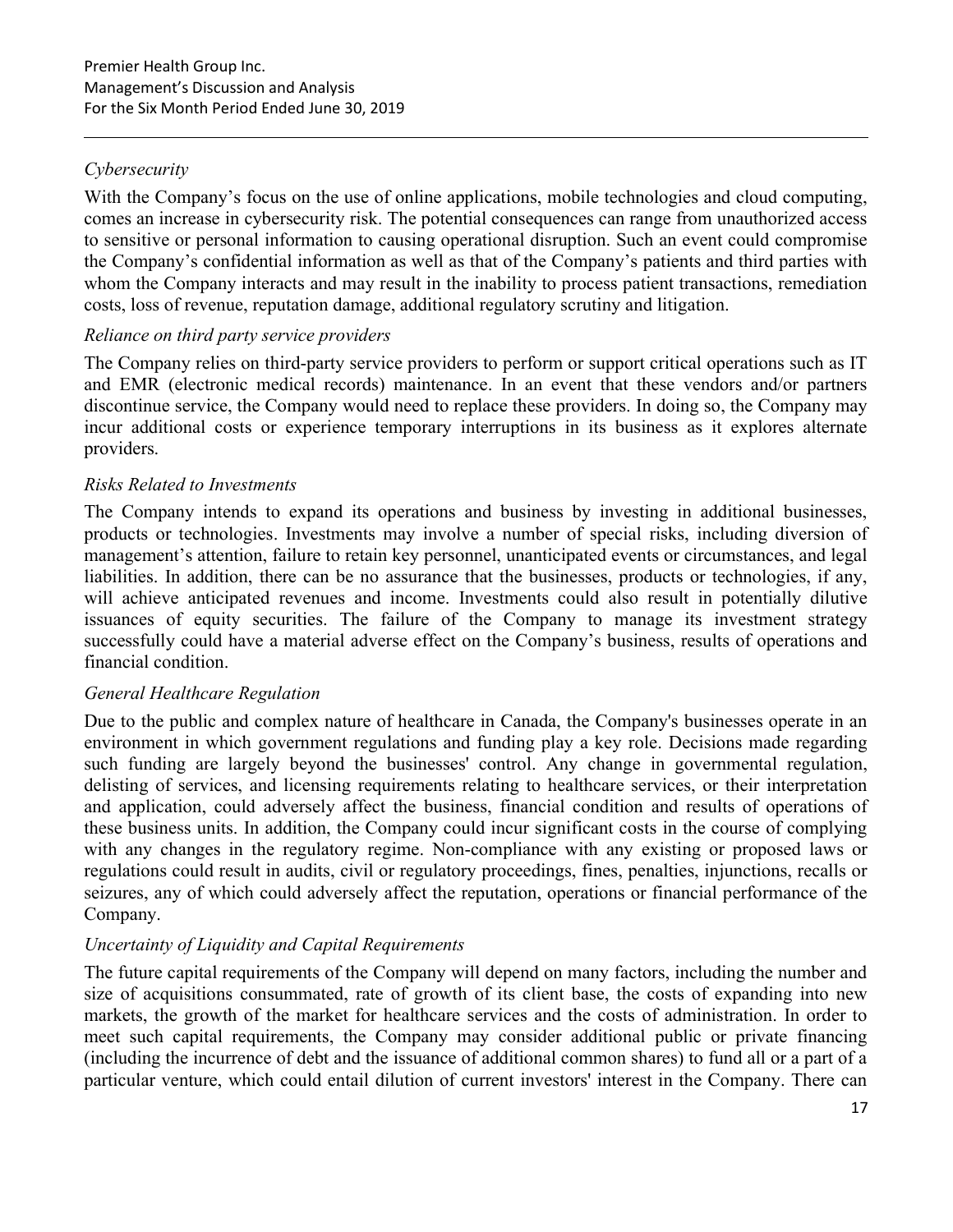## **Cybersecurity**

With the Company's focus on the use of online applications, mobile technologies and cloud computing, comes an increase in cybersecurity risk. The potential consequences can range from unauthorized access to sensitive or personal information to causing operational disruption. Such an event could compromise the Company's confidential information as well as that of the Company's patients and third parties with whom the Company interacts and may result in the inability to process patient transactions, remediation costs, loss of revenue, reputation damage, additional regulatory scrutiny and litigation.

### Reliance on third party service providers

The Company relies on third-party service providers to perform or support critical operations such as IT and EMR (electronic medical records) maintenance. In an event that these vendors and/or partners discontinue service, the Company would need to replace these providers. In doing so, the Company may incur additional costs or experience temporary interruptions in its business as it explores alternate providers.

### Risks Related to Investments

The Company intends to expand its operations and business by investing in additional businesses, products or technologies. Investments may involve a number of special risks, including diversion of management's attention, failure to retain key personnel, unanticipated events or circumstances, and legal liabilities. In addition, there can be no assurance that the businesses, products or technologies, if any, will achieve anticipated revenues and income. Investments could also result in potentially dilutive issuances of equity securities. The failure of the Company to manage its investment strategy successfully could have a material adverse effect on the Company's business, results of operations and financial condition.

### General Healthcare Regulation

Due to the public and complex nature of healthcare in Canada, the Company's businesses operate in an environment in which government regulations and funding play a key role. Decisions made regarding such funding are largely beyond the businesses' control. Any change in governmental regulation, delisting of services, and licensing requirements relating to healthcare services, or their interpretation and application, could adversely affect the business, financial condition and results of operations of these business units. In addition, the Company could incur significant costs in the course of complying with any changes in the regulatory regime. Non-compliance with any existing or proposed laws or regulations could result in audits, civil or regulatory proceedings, fines, penalties, injunctions, recalls or seizures, any of which could adversely affect the reputation, operations or financial performance of the Company.

### Uncertainty of Liquidity and Capital Requirements

The future capital requirements of the Company will depend on many factors, including the number and size of acquisitions consummated, rate of growth of its client base, the costs of expanding into new markets, the growth of the market for healthcare services and the costs of administration. In order to meet such capital requirements, the Company may consider additional public or private financing (including the incurrence of debt and the issuance of additional common shares) to fund all or a part of a particular venture, which could entail dilution of current investors' interest in the Company. There can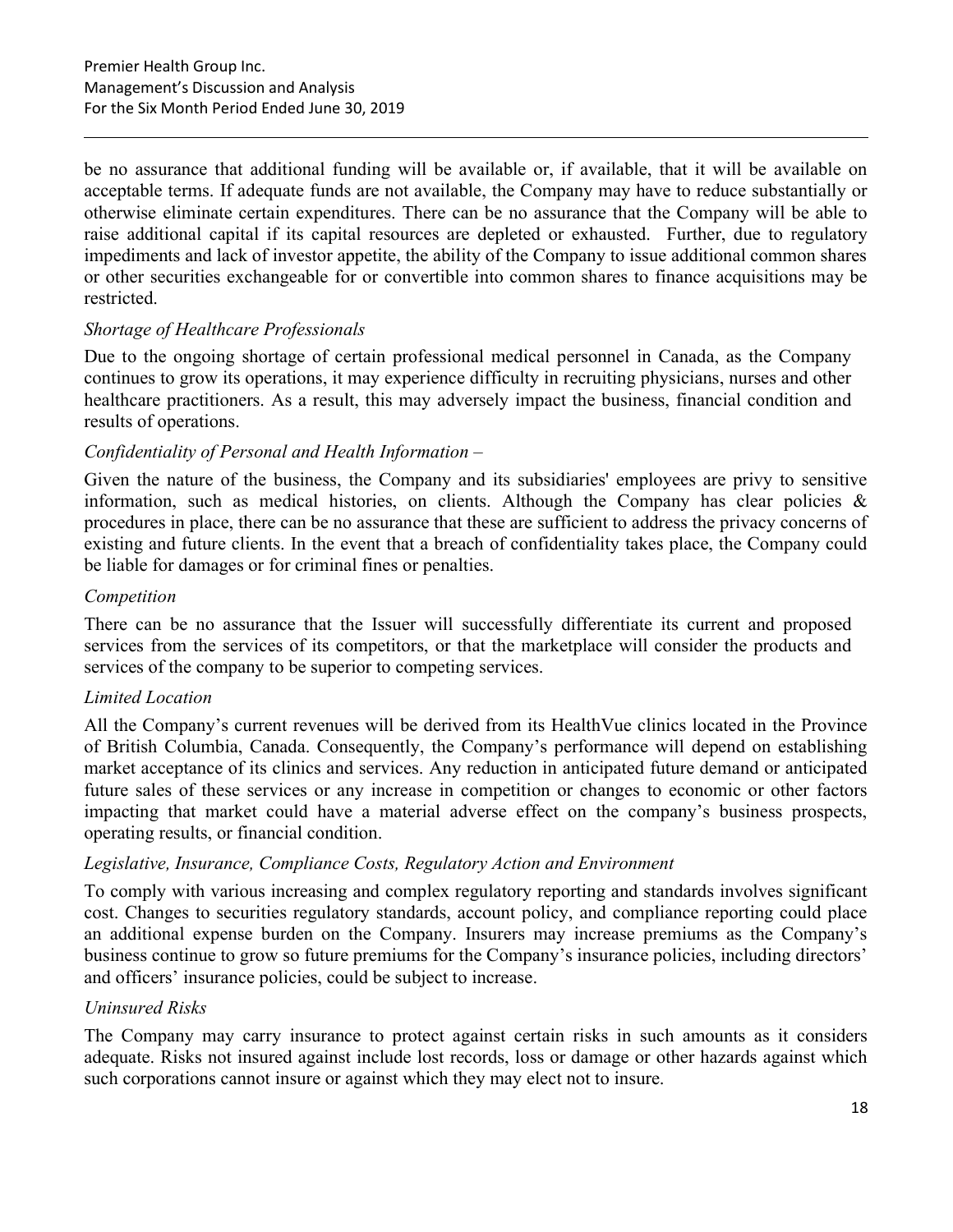be no assurance that additional funding will be available or, if available, that it will be available on acceptable terms. If adequate funds are not available, the Company may have to reduce substantially or otherwise eliminate certain expenditures. There can be no assurance that the Company will be able to raise additional capital if its capital resources are depleted or exhausted. Further, due to regulatory impediments and lack of investor appetite, the ability of the Company to issue additional common shares or other securities exchangeable for or convertible into common shares to finance acquisitions may be restricted.

### Shortage of Healthcare Professionals

Due to the ongoing shortage of certain professional medical personnel in Canada, as the Company continues to grow its operations, it may experience difficulty in recruiting physicians, nurses and other healthcare practitioners. As a result, this may adversely impact the business, financial condition and results of operations.

### Confidentiality of Personal and Health Information –

Given the nature of the business, the Company and its subsidiaries' employees are privy to sensitive information, such as medical histories, on clients. Although the Company has clear policies  $\&$ procedures in place, there can be no assurance that these are sufficient to address the privacy concerns of existing and future clients. In the event that a breach of confidentiality takes place, the Company could be liable for damages or for criminal fines or penalties.

#### Competition

There can be no assurance that the Issuer will successfully differentiate its current and proposed services from the services of its competitors, or that the marketplace will consider the products and services of the company to be superior to competing services.

#### Limited Location

All the Company's current revenues will be derived from its HealthVue clinics located in the Province of British Columbia, Canada. Consequently, the Company's performance will depend on establishing market acceptance of its clinics and services. Any reduction in anticipated future demand or anticipated future sales of these services or any increase in competition or changes to economic or other factors impacting that market could have a material adverse effect on the company's business prospects, operating results, or financial condition.

#### Legislative, Insurance, Compliance Costs, Regulatory Action and Environment

To comply with various increasing and complex regulatory reporting and standards involves significant cost. Changes to securities regulatory standards, account policy, and compliance reporting could place an additional expense burden on the Company. Insurers may increase premiums as the Company's business continue to grow so future premiums for the Company's insurance policies, including directors' and officers' insurance policies, could be subject to increase.

### Uninsured Risks

The Company may carry insurance to protect against certain risks in such amounts as it considers adequate. Risks not insured against include lost records, loss or damage or other hazards against which such corporations cannot insure or against which they may elect not to insure.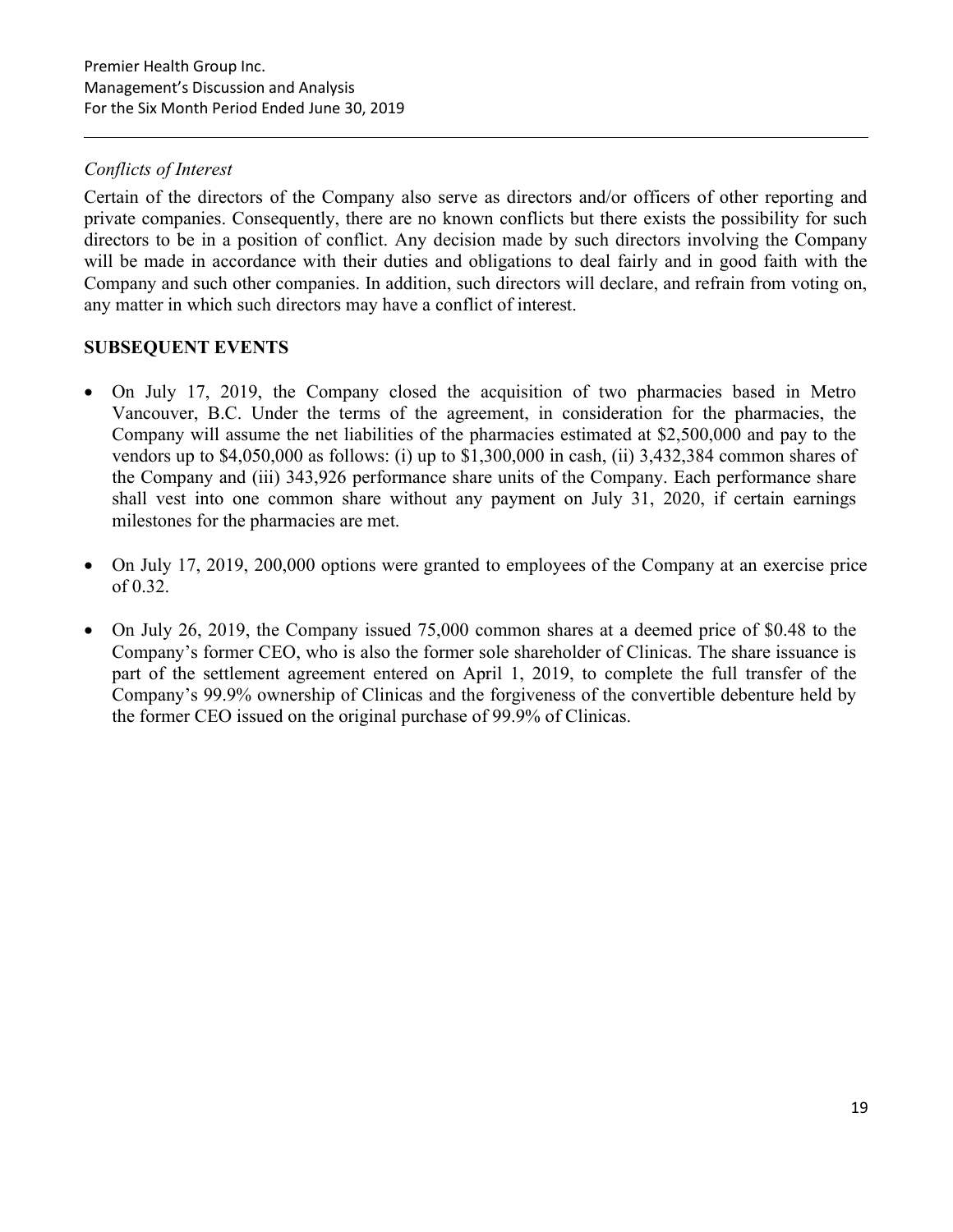## Conflicts of Interest

Certain of the directors of the Company also serve as directors and/or officers of other reporting and private companies. Consequently, there are no known conflicts but there exists the possibility for such directors to be in a position of conflict. Any decision made by such directors involving the Company will be made in accordance with their duties and obligations to deal fairly and in good faith with the Company and such other companies. In addition, such directors will declare, and refrain from voting on, any matter in which such directors may have a conflict of interest.

## SUBSEQUENT EVENTS

- On July 17, 2019, the Company closed the acquisition of two pharmacies based in Metro Vancouver, B.C. Under the terms of the agreement, in consideration for the pharmacies, the Company will assume the net liabilities of the pharmacies estimated at \$2,500,000 and pay to the vendors up to \$4,050,000 as follows: (i) up to \$1,300,000 in cash, (ii) 3,432,384 common shares of the Company and (iii) 343,926 performance share units of the Company. Each performance share shall vest into one common share without any payment on July 31, 2020, if certain earnings milestones for the pharmacies are met.
- On July 17, 2019, 200,000 options were granted to employees of the Company at an exercise price of 0.32.
- On July 26, 2019, the Company issued 75,000 common shares at a deemed price of \$0.48 to the Company's former CEO, who is also the former sole shareholder of Clinicas. The share issuance is part of the settlement agreement entered on April 1, 2019, to complete the full transfer of the Company's 99.9% ownership of Clinicas and the forgiveness of the convertible debenture held by the former CEO issued on the original purchase of 99.9% of Clinicas.